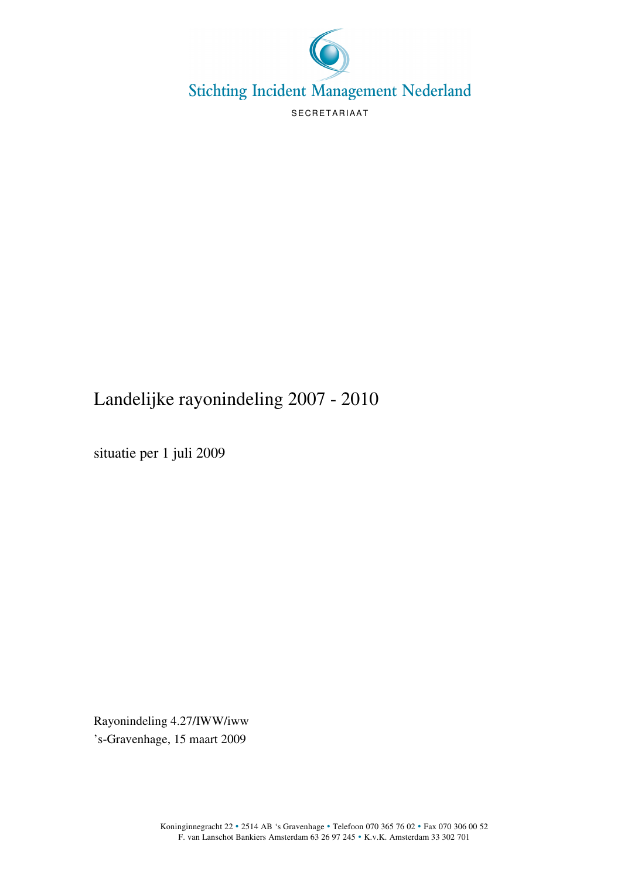

## Landelijke rayonindeling 2007 - 2010

situatie per 1 juli 2009

Rayonindeling 4.27/IWW/iww 's-Gravenhage, 15 maart 2009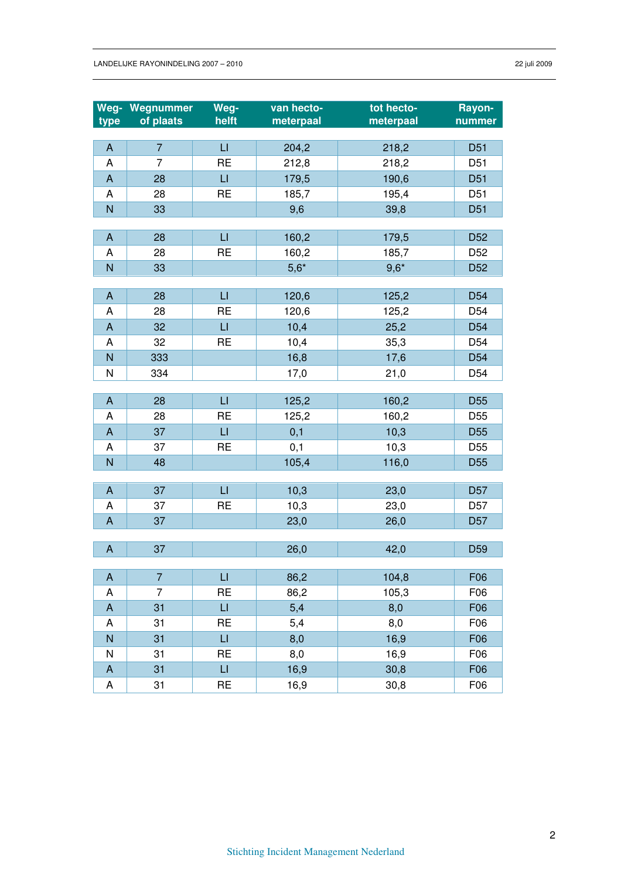| Weg-                      | Wegnummer      | Weg-                   | van hecto- | tot hecto- | Rayon-          |
|---------------------------|----------------|------------------------|------------|------------|-----------------|
| type                      | of plaats      | helft                  | meterpaal  | meterpaal  | nummer          |
| A                         | $\overline{7}$ | $\mathsf{L}\mathsf{L}$ | 204,2      | 218,2      | D <sub>51</sub> |
| A                         | $\overline{7}$ | <b>RE</b>              | 212,8      | 218,2      | D <sub>51</sub> |
| $\boldsymbol{\mathsf{A}}$ | 28             | $\mathsf{L}\mathsf{L}$ | 179,5      | 190,6      | D <sub>51</sub> |
| A                         | 28             | <b>RE</b>              | 185,7      | 195,4      | D <sub>51</sub> |
| $\mathsf{N}$              | 33             |                        | 9,6        | 39,8       | D <sub>51</sub> |
|                           |                |                        |            |            |                 |
| $\boldsymbol{\mathsf{A}}$ | 28             | $\sqcup$               | 160,2      | 179,5      | D <sub>52</sub> |
| A                         | 28             | <b>RE</b>              | 160,2      | 185,7      | D <sub>52</sub> |
| N                         | 33             |                        | $5,6*$     | $9,6*$     | D <sub>52</sub> |
|                           |                |                        |            |            |                 |
| A                         | 28             | $\Box$                 | 120,6      | 125,2      | D <sub>54</sub> |
| A                         | 28             | <b>RE</b>              | 120,6      | 125,2      | D <sub>54</sub> |
| $\boldsymbol{\mathsf{A}}$ | 32             | LI                     | 10,4       | 25,2       | D <sub>54</sub> |
| A                         | 32             | <b>RE</b>              | 10,4       | 35,3       | D <sub>54</sub> |
| $\overline{N}$            | 333            |                        | 16,8       | 17,6       | D <sub>54</sub> |
| N                         | 334            |                        | 17,0       | 21,0       | D <sub>54</sub> |
|                           |                |                        |            |            |                 |
| $\boldsymbol{\mathsf{A}}$ | 28             | $\sqcup$               | 125,2      | 160,2      | D <sub>55</sub> |
| A                         | 28             | <b>RE</b>              | 125,2      | 160,2      | D <sub>55</sub> |
| $\boldsymbol{\mathsf{A}}$ | 37             | $\sqcup$               | 0,1        | 10,3       | D <sub>55</sub> |
| A                         | 37             | <b>RE</b>              | 0,1        | 10,3       | D <sub>55</sub> |
| $\overline{N}$            | 48             |                        | 105,4      | 116,0      | D <sub>55</sub> |
|                           |                |                        |            |            |                 |
| $\boldsymbol{\mathsf{A}}$ | 37             | $\sqcup$               | 10,3       | 23,0       | D <sub>57</sub> |
| A                         | 37             | <b>RE</b>              | 10,3       | 23,0       | D <sub>57</sub> |
| A                         | 37             |                        | 23,0       | 26,0       | D <sub>57</sub> |
| $\boldsymbol{\mathsf{A}}$ | 37             |                        | 26,0       | 42,0       | D <sub>59</sub> |
|                           |                |                        |            |            |                 |
| A                         | $\overline{7}$ | $\sqcup$               | 86,2       | 104,8      | F06             |
| Α                         | 7              | RE                     | 86,2       | 105,3      | F06             |
| $\boldsymbol{\mathsf{A}}$ | 31             | $\sqcup$               | 5,4        | 8,0        | F06             |
| A                         | 31             | <b>RE</b>              | 5,4        | 8,0        | F06             |
| $\overline{N}$            | 31             | $\sqcup$               | 8,0        | 16,9       | F06             |
| N                         | 31             | <b>RE</b>              | 8,0        | 16,9       | F06             |
| $\boldsymbol{\mathsf{A}}$ | 31             | $\mathsf{L}\mathsf{I}$ | 16,9       | 30,8       | F06             |
| A                         | 31             | <b>RE</b>              | 16,9       | 30,8       | F06             |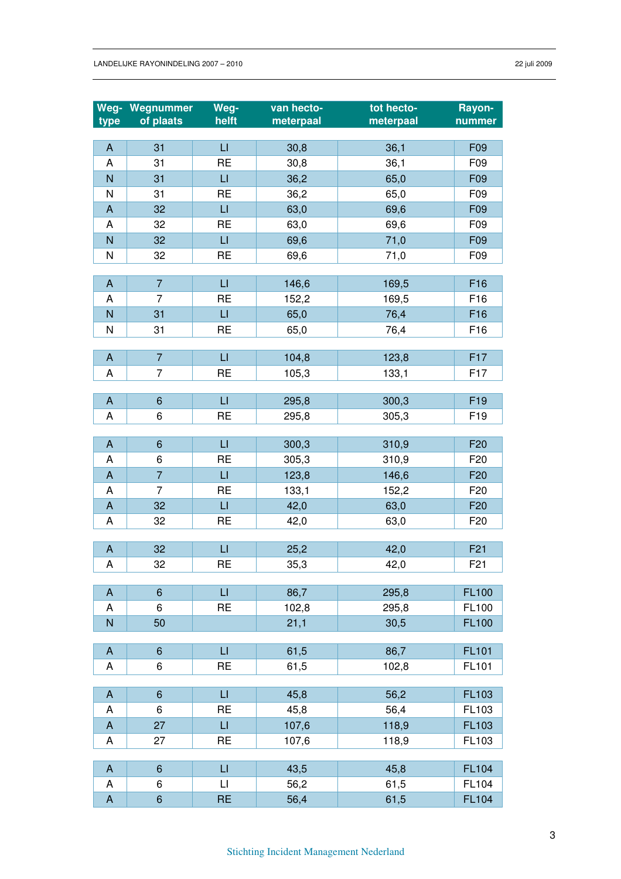| Weg-                      | Wegnummer      | Weg-                    | van hecto- | tot hecto- | Rayon-          |
|---------------------------|----------------|-------------------------|------------|------------|-----------------|
| type                      | of plaats      | helft                   | meterpaal  | meterpaal  | nummer          |
|                           |                |                         |            |            |                 |
| $\mathsf A$               | 31             | $\sqcup$                | 30,8       | 36,1       | F09             |
| A                         | 31             | <b>RE</b>               | 30,8       | 36,1       | F09             |
| N                         | 31             | $\mathsf{L}\mathsf{I}$  | 36,2       | 65,0       | F09             |
| N                         | 31             | <b>RE</b>               | 36,2       | 65,0       | F09             |
| $\boldsymbol{\mathsf{A}}$ | 32             | $\sqcup$                | 63,0       | 69,6       | F09             |
| A                         | 32             | <b>RE</b>               | 63,0       | 69,6       | F09             |
| $\overline{N}$            | 32             | $\sqcup$                | 69,6       | 71,0       | F09             |
| N                         | 32             | <b>RE</b>               | 69,6       | 71,0       | F09             |
|                           |                |                         |            |            |                 |
| A                         | $\overline{7}$ | $\sqcup$                | 146,6      | 169,5      | F <sub>16</sub> |
| A                         | $\overline{7}$ | <b>RE</b>               | 152,2      | 169,5      | F16             |
| ${\sf N}$                 | 31             | $\sqcup$                | 65,0       | 76,4       | F <sub>16</sub> |
| N                         | 31             | <b>RE</b>               | 65,0       | 76,4       | F16             |
| $\boldsymbol{\mathsf{A}}$ | $\overline{7}$ | $\mathsf{L}$            | 104,8      | 123,8      | F17             |
| A                         | $\overline{7}$ | <b>RE</b>               | 105,3      | 133,1      | F <sub>17</sub> |
|                           |                |                         |            |            |                 |
| A                         | $6\phantom{1}$ | $\sqcup$                | 295,8      | 300,3      | F <sub>19</sub> |
| A                         | 6              | <b>RE</b>               | 295,8      | 305,3      | F <sub>19</sub> |
|                           |                |                         |            |            |                 |
| $\boldsymbol{\mathsf{A}}$ | $\,$ 6 $\,$    | $\sqcup$                | 300,3      | 310,9      | F <sub>20</sub> |
| A                         | 6              | <b>RE</b>               | 305,3      | 310,9      | F <sub>20</sub> |
| $\boldsymbol{\mathsf{A}}$ | $\overline{7}$ | $\sqcup$                | 123,8      | 146,6      | F <sub>20</sub> |
| A                         | $\overline{7}$ | <b>RE</b>               | 133,1      | 152,2      | F <sub>20</sub> |
| $\boldsymbol{\mathsf{A}}$ | 32             | $\sqcup$                | 42,0       | 63,0       | F <sub>20</sub> |
| A                         | 32             | <b>RE</b>               | 42,0       | 63,0       | F <sub>20</sub> |
|                           |                |                         |            |            |                 |
| $\boldsymbol{\mathsf{A}}$ | 32             | $\sqcup$                | 25,2       | 42,0       | F <sub>21</sub> |
| A                         | 32             | <b>RE</b>               | 35,3       | 42,0       | F <sub>21</sub> |
|                           |                |                         |            |            |                 |
| $\boldsymbol{\mathsf{A}}$ | $6\phantom{1}$ | $\mathsf{L}$            | 86,7       | 295,8      | <b>FL100</b>    |
| Α                         | 6              | <b>RE</b>               | 102,8      | 295,8      | FL100           |
| N                         | 50             |                         | 21,1       | 30,5       | <b>FL100</b>    |
|                           |                |                         |            |            |                 |
| $\boldsymbol{\mathsf{A}}$ | $6\phantom{1}$ | $\sqcup$                | 61,5       | 86,7       | <b>FL101</b>    |
| A                         | 6              | <b>RE</b>               | 61,5       | 102,8      | FL101           |
| $\boldsymbol{\mathsf{A}}$ | $\,$ 6 $\,$    | $\sqcup$                | 45,8       | 56,2       | FL103           |
| A                         | 6              | <b>RE</b>               | 45,8       | 56,4       | FL103           |
| $\boldsymbol{\mathsf{A}}$ | 27             | $\sqcup$                | 107,6      | 118,9      | FL103           |
| A                         | 27             | <b>RE</b>               | 107,6      | 118,9      | FL103           |
|                           |                |                         |            |            |                 |
| $\boldsymbol{\mathsf{A}}$ | $6\phantom{1}$ | $\sqcup$                | 43,5       | 45,8       | <b>FL104</b>    |
| A                         | 6              | $\lfloor \cdot \rfloor$ | 56,2       | 61,5       | FL104           |
| $\boldsymbol{\mathsf{A}}$ | $\,$ 6 $\,$    | <b>RE</b>               | 56,4       | 61,5       | <b>FL104</b>    |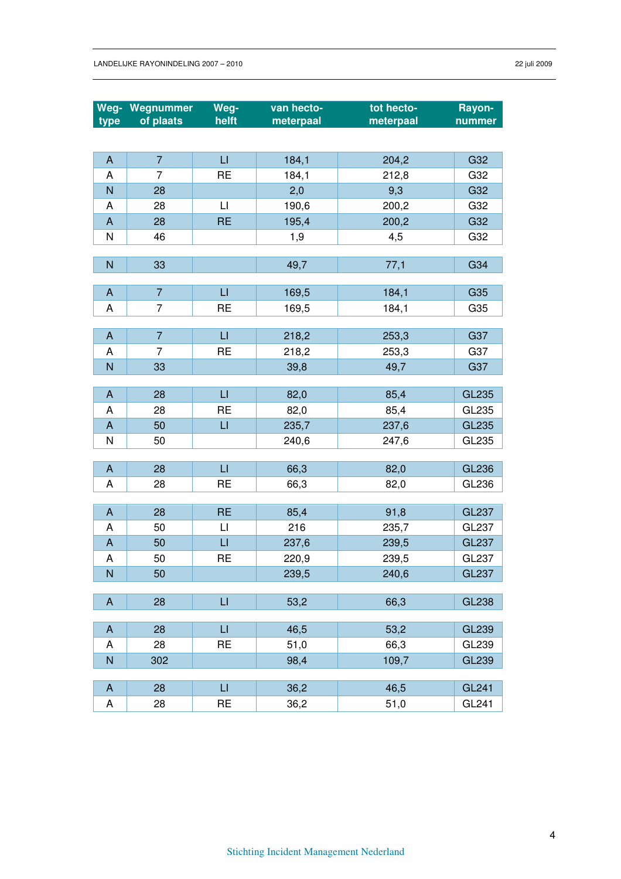|                           | Weg- Wegnummer | Weg-              | van hecto- | tot hecto-    | <b>Rayon-</b> |
|---------------------------|----------------|-------------------|------------|---------------|---------------|
| type                      | of plaats      | helft             | meterpaal  | meterpaal     | nummer        |
|                           |                |                   |            |               |               |
| $\mathsf A$               | $\overline{7}$ | $\sqcup$          | 184,1      | 204,2         | G32           |
| Α                         | 7              | <b>RE</b>         | 184,1      | 212,8         | G32           |
| $\overline{N}$            | 28             |                   | 2,0        | 9,3           | G32           |
| A                         | 28             | $\lfloor \rfloor$ | 190,6      | 200,2         | G32           |
| $\mathsf{A}$              | 28             | <b>RE</b>         | 195,4      | 200,2         | G32           |
| N                         | 46             |                   | 1,9        | 4,5           | G32           |
|                           |                |                   |            |               |               |
| $\mathsf{N}$              | 33             |                   | 49,7       | 77,1          | G34           |
|                           |                |                   |            |               |               |
| A                         | $\overline{7}$ | $\sqcup$          | 169,5      | 184,1         | G35           |
| A                         | $\overline{7}$ | <b>RE</b>         | 169,5      | 184,1         | G35           |
| $\boldsymbol{\mathsf{A}}$ | $\overline{7}$ | $\sqcup$          | 218,2      | 253,3         | G37           |
| A                         | $\overline{7}$ | <b>RE</b>         | 218,2      | 253,3         | G37           |
| N                         | 33             |                   | 39,8       | 49,7          | G37           |
|                           |                |                   |            |               |               |
| A                         | 28             | $\sqcup$          | 82,0       | 85,4          | <b>GL235</b>  |
| A                         | 28             | <b>RE</b>         | 82,0       | 85,4          | GL235         |
| A                         | 50             | $\sqcup$          | 235,7      | 237,6         | GL235         |
| N                         | 50             |                   | 240,6      | 247,6         | GL235         |
|                           |                |                   |            |               |               |
| A                         | 28             | $\sqcup$          | 66,3       | 82,0          | <b>GL236</b>  |
| A                         | 28             | <b>RE</b>         | 66,3       | 82,0          | GL236         |
| A                         | 28             | <b>RE</b>         | 85,4       |               | <b>GL237</b>  |
| A                         | 50             | $\sqcup$          | 216        | 91,8<br>235,7 | GL237         |
| $\boldsymbol{\mathsf{A}}$ | 50             | $\sqcup$          | 237,6      | 239,5         | <b>GL237</b>  |
| A                         | 50             | <b>RE</b>         | 220,9      | 239,5         | GL237         |
| $\overline{\mathsf{N}}$   | 50             |                   | 239,5      | 240,6         | GL237         |
|                           |                |                   |            |               |               |
| A                         | 28             | $\sqcup$          | 53,2       | 66,3          | <b>GL238</b>  |
|                           |                |                   |            |               |               |
| A                         | 28             | $\sqcup$          | 46,5       | 53,2          | <b>GL239</b>  |
| A                         | 28             | <b>RE</b>         | 51,0       | 66,3          | GL239         |
| $\overline{N}$            | 302            |                   | 98,4       | 109,7         | <b>GL239</b>  |
|                           |                |                   |            |               |               |
| A                         | 28             | $\sqcup$          | 36,2       | 46,5          | <b>GL241</b>  |
| $\sf A$                   | 28             | <b>RE</b>         | 36,2       | 51,0          | GL241         |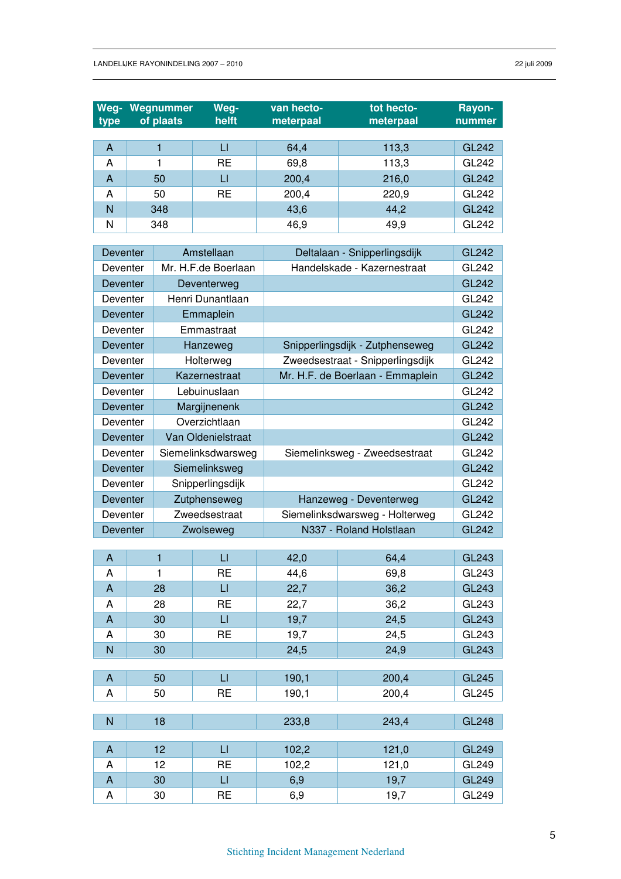| Weg-<br>type | Wegnummer<br>of plaats | Weg-<br>helft | van hecto-<br>meterpaal | tot hecto-<br>meterpaal | Rayon-<br>nummer |
|--------------|------------------------|---------------|-------------------------|-------------------------|------------------|
|              |                        |               |                         |                         |                  |
| A            |                        | LI            | 64,4                    | 113,3                   | <b>GL242</b>     |
| A            |                        | <b>RE</b>     | 69,8                    | 113,3                   | GL242            |
| A            | 50                     | LI            | 200,4                   | 216,0                   | <b>GL242</b>     |
| A            | 50                     | <b>RE</b>     | 200,4                   | 220,9                   | GL242            |
| N            | 348                    |               | 43,6                    | 44,2                    | <b>GL242</b>     |
| N            | 348                    |               | 46,9                    | 49,9                    | GL242            |

| Deventer       |                | Amstellaan          |       | Deltalaan - Snipperlingsdijk     | <b>GL242</b> |
|----------------|----------------|---------------------|-------|----------------------------------|--------------|
| Deventer       |                | Mr. H.F.de Boerlaan |       | Handelskade - Kazernestraat      | GL242        |
| Deventer       |                | Deventerweg         |       |                                  | <b>GL242</b> |
| Deventer       |                | Henri Dunantlaan    |       |                                  | GL242        |
| Deventer       |                | Emmaplein           |       |                                  | <b>GL242</b> |
| Deventer       |                | Emmastraat          |       |                                  | GL242        |
| Deventer       |                | Hanzeweg            |       | Snipperlingsdijk - Zutphenseweg  | <b>GL242</b> |
| Deventer       |                | Holterweg           |       | Zweedsestraat - Snipperlingsdijk | GL242        |
| Deventer       |                | Kazernestraat       |       | Mr. H.F. de Boerlaan - Emmaplein | <b>GL242</b> |
| Deventer       |                | Lebuinuslaan        |       |                                  | GL242        |
| Deventer       |                | Margijnenenk        |       |                                  | <b>GL242</b> |
| Deventer       |                | Overzichtlaan       |       |                                  | GL242        |
| Deventer       |                | Van Oldenielstraat  |       |                                  | <b>GL242</b> |
| Deventer       |                | Siemelinksdwarsweg  |       | Siemelinksweg - Zweedsestraat    | GL242        |
| Deventer       |                | Siemelinksweg       |       |                                  | <b>GL242</b> |
| Deventer       |                | Snipperlingsdijk    |       |                                  | GL242        |
| Deventer       |                | Zutphenseweg        |       | Hanzeweg - Deventerweg           | <b>GL242</b> |
| Deventer       |                | Zweedsestraat       |       | Siemelinksdwarsweg - Holterweg   | GL242        |
| Deventer       |                | Zwolseweg           |       | N337 - Roland Holstlaan          | <b>GL242</b> |
|                |                |                     |       |                                  |              |
| $\mathsf{A}$   | $\overline{1}$ | $\sqcup$            | 42,0  | 64,4                             | <b>GL243</b> |
| A              | 1              | <b>RE</b>           | 44,6  | 69,8                             | GL243        |
| $\overline{A}$ | 28             | $\sqcup$            | 22,7  | 36,2                             | GL243        |
| Α              | 28             | <b>RE</b>           | 22,7  | 36,2                             | GL243        |
| $\mathsf{A}$   | 30             | $\mathsf{L}$        | 19,7  | 24,5                             | <b>GL243</b> |
| Α              | 30             | <b>RE</b>           | 19,7  | 24,5                             | GL243        |
| N              | 30             |                     | 24,5  | 24,9                             | <b>GL243</b> |
| A              | 50             | $\sqcup$            | 190,1 | 200,4                            | <b>GL245</b> |
| Α              | 50             | <b>RE</b>           | 190,1 | 200,4                            | GL245        |
|                |                |                     |       |                                  |              |
| $\mathsf{N}$   | 18             |                     | 233,8 | 243,4                            | <b>GL248</b> |
|                |                |                     |       |                                  |              |
| A              | 12             | LI                  | 102,2 | 121,0                            | GL249        |
| Α              | 12             | <b>RE</b>           | 102,2 | 121,0                            | GL249        |
| A              |                |                     |       |                                  |              |
|                | 30             | $\Box$              | 6,9   | 19,7                             | <b>GL249</b> |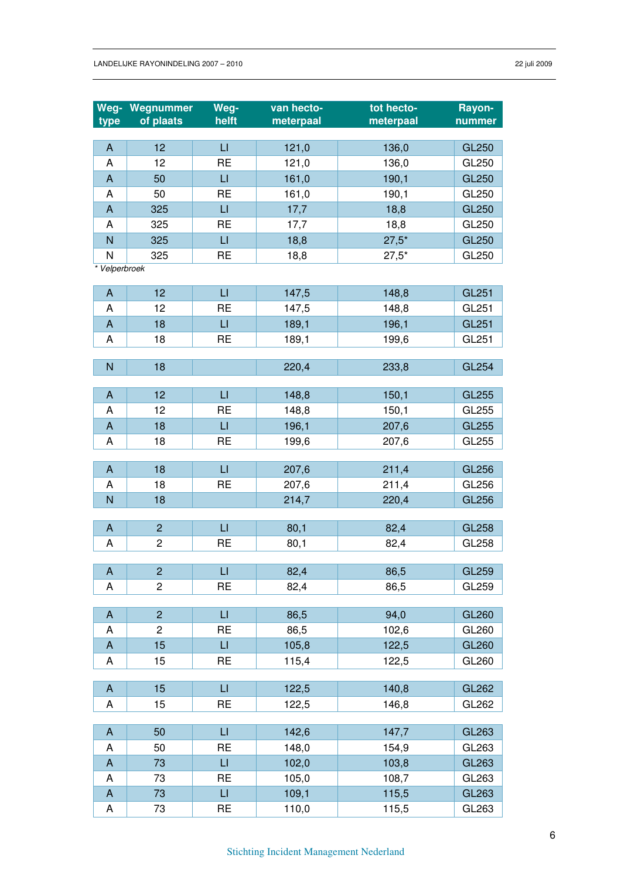|                                | Weg- Wegnummer | Weg-                    | van hecto-   | tot hecto-   | Rayon-                |
|--------------------------------|----------------|-------------------------|--------------|--------------|-----------------------|
| type                           | of plaats      | helft                   | meterpaal    | meterpaal    | nummer                |
|                                |                |                         |              |              |                       |
| $\boldsymbol{\mathsf{A}}$      | 12             | $\sqcup$                | 121,0        | 136,0        | <b>GL250</b>          |
| A                              | 12             | <b>RE</b>               | 121,0        | 136,0        | GL250                 |
| $\boldsymbol{\mathsf{A}}$      | 50<br>50       | $\sqcup$<br><b>RE</b>   | 161,0        | 190,1        | <b>GL250</b>          |
| A<br>$\boldsymbol{\mathsf{A}}$ | 325            | $\overline{\mathsf{L}}$ | 161,0        | 190,1        | GL250<br><b>GL250</b> |
| A                              | 325            | <b>RE</b>               | 17,7         | 18,8<br>18,8 | GL250                 |
| N                              | 325            | $\sqcup$                | 17,7<br>18,8 | $27,5*$      | <b>GL250</b>          |
| N                              | 325            | <b>RE</b>               | 18,8         | $27,5*$      | GL250                 |
| * Velperbroek                  |                |                         |              |              |                       |
|                                |                |                         |              |              |                       |
| A                              | 12             | $\sqcup$                | 147,5        | 148,8        | <b>GL251</b>          |
| A                              | 12             | <b>RE</b>               | 147,5        | 148,8        | GL251                 |
| $\boldsymbol{\mathsf{A}}$      | 18             | $\sqcup$                | 189,1        | 196,1        | <b>GL251</b>          |
| A                              | 18             | <b>RE</b>               | 189,1        | 199,6        | GL251                 |
|                                |                |                         |              |              |                       |
| N                              | 18             |                         | 220,4        | 233,8        | <b>GL254</b>          |
| A                              | 12             | $\sqcup$                |              |              | GL255                 |
| A                              | 12             | <b>RE</b>               | 148,8        | 150,1        | GL255                 |
| $\mathsf{A}$                   | 18             | LI                      | 148,8        | 150,1        |                       |
| A                              | 18             | <b>RE</b>               | 196,1        | 207,6        | GL255<br>GL255        |
|                                |                |                         | 199,6        | 207,6        |                       |
| A                              | 18             | LI                      | 207,6        | 211,4        | <b>GL256</b>          |
| A                              | 18             | <b>RE</b>               | 207,6        | 211,4        | GL256                 |
| $\overline{N}$                 | 18             |                         | 214,7        | 220,4        | <b>GL256</b>          |
|                                |                |                         |              |              |                       |
| $\mathsf{A}$                   | $\overline{2}$ | $\overline{\mathsf{L}}$ | 80,1         | 82,4         | <b>GL258</b>          |
| A                              | 2              | <b>RE</b>               | 80,1         | 82,4         | GL258                 |
|                                |                |                         |              |              |                       |
| A                              | $\overline{c}$ | LI.                     | 82,4         | 86,5         | <b>GL259</b>          |
| A                              | 2              | <b>RE</b>               | 82,4         | 86,5         | GL259                 |
|                                | $\overline{2}$ | $\sqcup$                |              |              |                       |
| A<br>A                         | $\overline{c}$ | <b>RE</b>               | 86,5         | 94,0         | GL260<br>GL260        |
|                                |                | LI                      | 86,5         | 102,6        |                       |
| A                              | 15             |                         | 105,8        | 122,5        | GL260<br>GL260        |
| Α                              | 15             | <b>RE</b>               | 115,4        | 122,5        |                       |
| A                              | 15             | LI                      | 122,5        | 140,8        | GL262                 |
| A                              | 15             | <b>RE</b>               | 122,5        | 146,8        | GL262                 |
|                                |                |                         |              |              |                       |
| A                              | 50             | $\sqcup$                | 142,6        | 147,7        | GL263                 |
| A                              | 50             | <b>RE</b>               | 148,0        | 154,9        | GL263                 |
| A                              | 73             | $\sqcup$                | 102,0        | 103,8        | GL263                 |
| A                              | 73             | <b>RE</b>               | 105,0        | 108,7        | GL263                 |
| A                              | 73             | $\sqcup$                | 109,1        | 115,5        | GL263                 |
| A                              | 73             | <b>RE</b>               | 110,0        | 115,5        | GL263                 |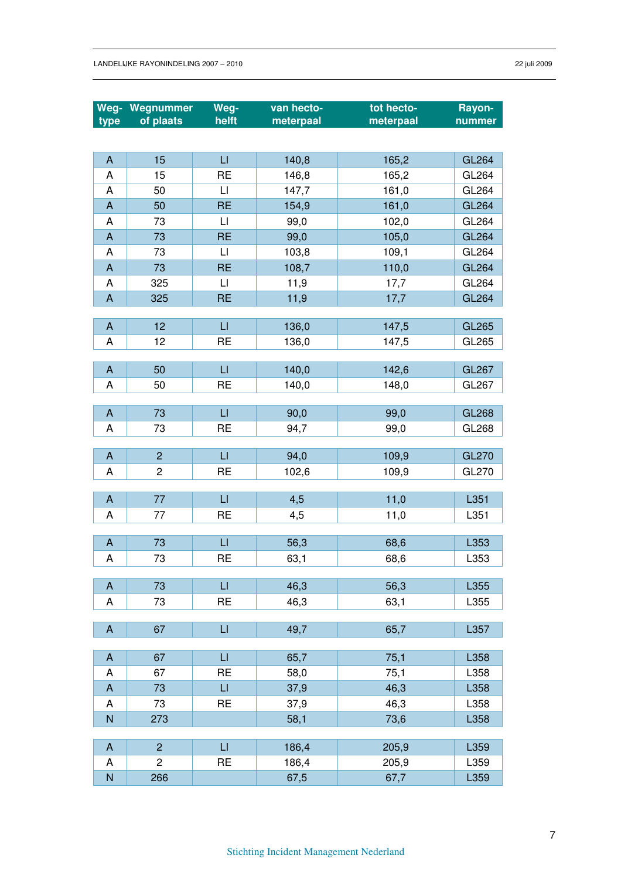|                           | Weg- Wegnummer | Weg-                    | van hecto- | tot hecto- | Rayon-       |
|---------------------------|----------------|-------------------------|------------|------------|--------------|
| type                      | of plaats      | helft                   | meterpaal  | meterpaal  | nummer       |
|                           |                |                         |            |            |              |
| $\mathsf A$               | 15             | $\sqcup$                | 140,8      | 165,2      | GL264        |
| A                         | 15             | <b>RE</b>               | 146,8      | 165,2      | GL264        |
| Α                         | 50             | $\lfloor \rfloor$       | 147,7      | 161,0      | GL264        |
| $\boldsymbol{\mathsf{A}}$ | 50             | <b>RE</b>               | 154,9      | 161,0      | <b>GL264</b> |
| Α                         | 73             | $\lfloor \cdot \rfloor$ | 99,0       | 102,0      | GL264        |
| $\mathsf{A}$              | 73             | <b>RE</b>               | 99,0       | 105,0      | <b>GL264</b> |
| Α                         | 73             | $\lfloor \cdot \rfloor$ | 103,8      | 109,1      | GL264        |
| $\mathsf{A}$              | 73             | <b>RE</b>               | 108,7      | 110,0      | <b>GL264</b> |
| A                         | 325            | $\mathsf{L}\mathsf{I}$  | 11,9       | 17,7       | GL264        |
| $\boldsymbol{\mathsf{A}}$ | 325            | <b>RE</b>               | 11,9       | 17,7       | <b>GL264</b> |
|                           |                |                         |            |            |              |
| $\boldsymbol{\mathsf{A}}$ | 12             | $\sqcup$                | 136,0      | 147,5      | <b>GL265</b> |
| A                         | 12             | <b>RE</b>               | 136,0      | 147,5      | GL265        |
|                           |                |                         |            |            |              |
| $\mathsf{A}$              | 50             | $\sqcup$                | 140,0      | 142,6      | <b>GL267</b> |
| Α                         | 50             | <b>RE</b>               | 140,0      | 148,0      | GL267        |
| A                         | 73             | $\sqcup$                | 90,0       | 99,0       | <b>GL268</b> |
| Α                         | 73             | <b>RE</b>               | 94,7       | 99,0       | GL268        |
|                           |                |                         |            |            |              |
| $\mathsf{A}$              | $\overline{c}$ | $\sqcup$                | 94,0       | 109,9      | <b>GL270</b> |
| A                         | $\overline{c}$ | <b>RE</b>               | 102,6      | 109,9      | GL270        |
|                           |                |                         |            |            |              |
| A                         | 77             | $\sqcup$                | 4,5        | 11,0       | L351         |
| A                         | 77             | <b>RE</b>               | 4,5        | 11,0       | L351         |
|                           |                |                         |            |            |              |
| A                         | 73             | LI                      | 56,3       | 68,6       | L353         |
| A                         | 73             | <b>RE</b>               | 63,1       | 68,6       | L353         |
| $\mathsf{A}$              | 73             | $\mathsf{L}\mathsf{I}$  |            |            |              |
| A                         |                | <b>RE</b>               | 46,3       | 56,3       | L355<br>L355 |
|                           | 73             |                         | 46,3       | 63,1       |              |
| $\boldsymbol{\mathsf{A}}$ | 67             | $\sqcup$                | 49,7       | 65,7       | L357         |
|                           |                |                         |            |            |              |
| A                         | 67             | $\sqcup$                | 65,7       | 75,1       | L358         |
| A                         | 67             | <b>RE</b>               | 58,0       | 75,1       | L358         |
| $\boldsymbol{\mathsf{A}}$ | 73             | $\Box$                  | 37,9       | 46,3       | L358         |
| Α                         | 73             | <b>RE</b>               | 37,9       | 46,3       | L358         |
| N                         | 273            |                         | 58,1       | 73,6       | L358         |
|                           |                |                         |            |            |              |
| $\mathsf{A}$              | $\overline{c}$ | $\sqcup$                | 186,4      | 205,9      | L359         |
| A                         | $\overline{2}$ | <b>RE</b>               | 186,4      | 205,9      | L359         |
| N                         | 266            |                         | 67,5       | 67,7       | L359         |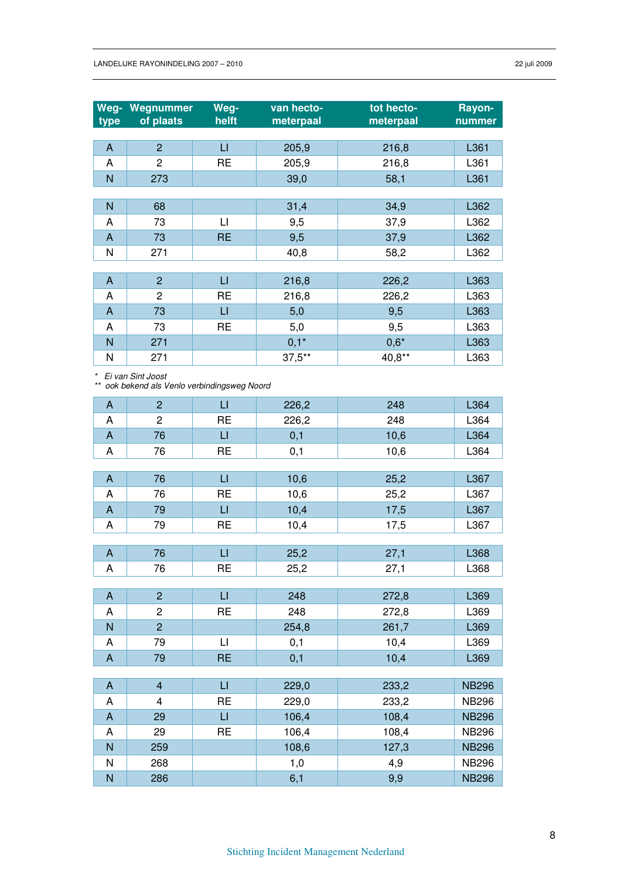| Weg-<br>type | Wegnummer<br>of plaats                                            | Weg-<br>helft | van hecto-<br>meterpaal | tot hecto-<br>meterpaal | Rayon-<br>nummer |
|--------------|-------------------------------------------------------------------|---------------|-------------------------|-------------------------|------------------|
| $\mathsf{A}$ | $\overline{2}$                                                    | $\sqcup$      | 205,9                   | 216,8                   | L361             |
| A            | $\overline{c}$                                                    | <b>RE</b>     | 205,9                   | 216,8                   | L361             |
| N            | 273                                                               |               | 39,0                    | 58,1                    | L361             |
|              |                                                                   |               |                         |                         |                  |
| N            | 68                                                                |               | 31,4                    | 34,9                    | L362             |
| Α            | 73                                                                | $\sqcup$      | 9,5                     | 37,9                    | L362             |
| $\mathsf{A}$ | 73                                                                | <b>RE</b>     | 9,5                     | 37,9                    | L362             |
| N            | 271                                                               |               | 40,8                    | 58,2                    | L362             |
|              |                                                                   |               |                         |                         |                  |
| $\mathsf{A}$ | $\overline{2}$                                                    | $\sqcup$      | 216,8                   | 226,2                   | L363             |
| A            | $\overline{c}$                                                    | <b>RE</b>     | 216,8                   | 226,2                   | L363             |
| $\mathsf{A}$ | 73                                                                | $\sqcup$      | 5,0                     | 9,5                     | L363             |
| A            | 73                                                                | <b>RE</b>     | 5,0                     | 9,5                     | L363             |
| N            | 271                                                               |               | $0,1*$                  | $0,6*$                  | L363             |
| N            | 271                                                               |               | $37.5***$               | 40,8**                  | L363             |
|              | Ei van Sint Joost<br>** ook bekend als Venlo verbindingsweg Noord |               |                         |                         |                  |
| $\mathsf{A}$ | $\overline{2}$                                                    | $\sqcup$      | 226,2                   | 248                     | L364             |
| A            | $\overline{2}$                                                    | <b>RE</b>     | 226,2                   | 248                     | L364             |
| A            | 76                                                                | $\Box$        | 0,1                     | 10,6                    | L364             |
| A            | 76                                                                | <b>RE</b>     | 0,1                     | 10,6                    | L364             |
|              |                                                                   |               |                         |                         |                  |
| $\mathsf{A}$ | 76                                                                | $\sqcup$      | 10,6                    | 25,2                    | L367             |
| A            | 76                                                                | <b>RE</b>     | 10,6                    | 25,2                    | L367             |

| A              | $\overline{c}$ | <b>RE</b>              | 226,2 | 248   | L364         |
|----------------|----------------|------------------------|-------|-------|--------------|
| $\overline{A}$ | 76             | $\sqcup$               | 0,1   | 10,6  | L364         |
| A              | 76             | <b>RE</b>              | 0,1   | 10,6  | L364         |
|                |                |                        |       |       |              |
| $\mathsf{A}$   | 76             | $\sqcup$               | 10,6  | 25,2  | L367         |
| A              | 76             | <b>RE</b>              | 10,6  | 25,2  | L367         |
| $\mathsf{A}$   | 79             | $\mathsf{L}$           | 10,4  | 17,5  | L367         |
| A              | 79             | <b>RE</b>              | 10,4  | 17,5  | L367         |
|                |                |                        |       |       |              |
| $\overline{A}$ | 76             | $\sqcup$               | 25,2  | 27,1  | L368         |
| Α              | 76             | <b>RE</b>              | 25,2  | 27,1  | L368         |
|                |                |                        |       |       |              |
| $\mathsf{A}$   | $\overline{2}$ | $\sqcup$               | 248   | 272,8 | L369         |
| A              | $\overline{c}$ | <b>RE</b>              | 248   | 272,8 | L369         |
| N              | $\overline{2}$ |                        | 254,8 | 261,7 | L369         |
| A              | 79             | $\mathsf{L}\mathsf{I}$ | 0,1   | 10,4  | L369         |
| A              | 79             | <b>RE</b>              | 0,1   | 10,4  | L369         |
|                |                |                        |       |       |              |
| $\mathsf{A}$   | $\overline{4}$ | $\mathsf{L}$           | 229,0 | 233,2 | <b>NB296</b> |
| A              | 4              | <b>RE</b>              | 229,0 | 233,2 | <b>NB296</b> |
| $\mathsf{A}$   | 29             | $\sqcup$               | 106,4 | 108,4 | <b>NB296</b> |
| A              | 29             | <b>RE</b>              | 106,4 | 108,4 | <b>NB296</b> |
| N              | 259            |                        | 108,6 | 127,3 | <b>NB296</b> |
| N              | 268            |                        | 1,0   | 4,9   | <b>NB296</b> |
| N              | 286            |                        | 6,1   | 9,9   | <b>NB296</b> |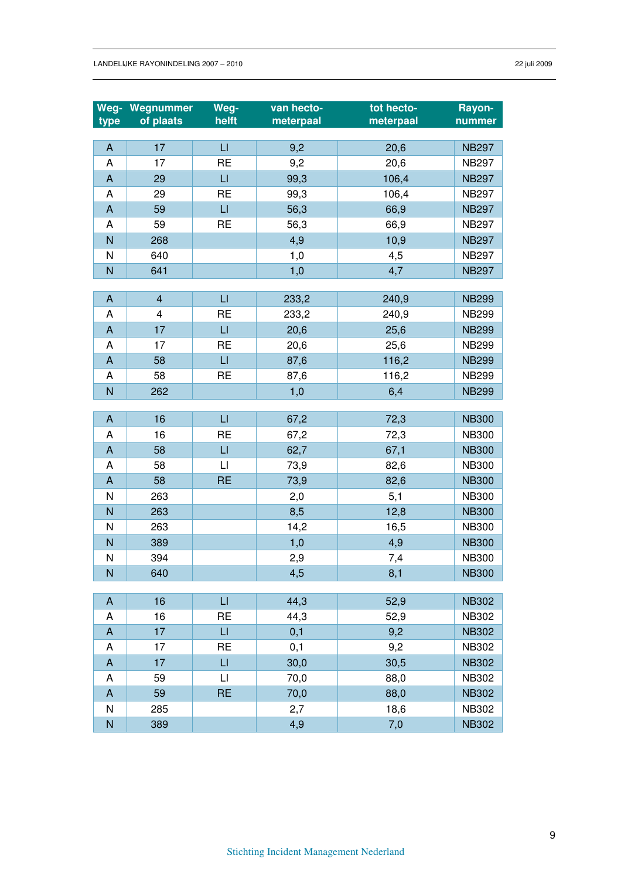| Weg-                      | Wegnummer<br>of plaats  | Weg-<br>helft          | van hecto-<br>meterpaal | tot hecto-<br>meterpaal | Rayon-       |
|---------------------------|-------------------------|------------------------|-------------------------|-------------------------|--------------|
| type                      |                         |                        |                         |                         | nummer       |
| $\boldsymbol{\mathsf{A}}$ | 17                      | $\sqcup$               | 9,2                     | 20,6                    | <b>NB297</b> |
| A                         | 17                      | <b>RE</b>              | 9,2                     | 20,6                    | <b>NB297</b> |
| $\boldsymbol{\mathsf{A}}$ | 29                      | $\sqcup$               | 99,3                    | 106,4                   | <b>NB297</b> |
| A                         | 29                      | <b>RE</b>              | 99,3                    | 106,4                   | <b>NB297</b> |
| $\mathsf A$               | 59                      | $\mathsf{L}\mathsf{I}$ | 56,3                    | 66,9                    | <b>NB297</b> |
| A                         | 59                      | <b>RE</b>              | 56,3                    | 66,9                    | <b>NB297</b> |
| $\overline{N}$            | 268                     |                        | 4,9                     | 10,9                    | <b>NB297</b> |
| N                         | 640                     |                        | 1,0                     | 4,5                     | <b>NB297</b> |
| N                         | 641                     |                        | 1,0                     | 4,7                     | <b>NB297</b> |
|                           |                         |                        |                         |                         |              |
| $\boldsymbol{\mathsf{A}}$ | $\overline{\mathbf{4}}$ | $\sqcup$               | 233,2                   | 240,9                   | <b>NB299</b> |
| A                         | $\overline{\mathbf{4}}$ | <b>RE</b>              | 233,2                   | 240,9                   | <b>NB299</b> |
| $\boldsymbol{\mathsf{A}}$ | 17                      | $\sqcup$               | 20,6                    | 25,6                    | <b>NB299</b> |
| A                         | 17                      | <b>RE</b>              | 20,6                    | 25,6                    | <b>NB299</b> |
| $\boldsymbol{\mathsf{A}}$ | 58                      | $\mathsf{L}$           | 87,6                    | 116,2                   | <b>NB299</b> |
| A                         | 58                      | <b>RE</b>              | 87,6                    | 116,2                   | <b>NB299</b> |
| N                         | 262                     |                        | 1,0                     | 6,4                     | <b>NB299</b> |
|                           |                         |                        |                         |                         |              |
| $\boldsymbol{\mathsf{A}}$ | 16                      | $\sqcup$               | 67,2                    | 72,3                    | <b>NB300</b> |
| A                         | 16                      | <b>RE</b>              | 67,2                    | 72,3                    | <b>NB300</b> |
| $\boldsymbol{\mathsf{A}}$ | 58                      | $\sqcup$               | 62,7                    | 67,1                    | <b>NB300</b> |
| A                         | 58                      | $\mathsf{L}$           | 73,9                    | 82,6                    | <b>NB300</b> |
| $\mathsf{A}$              | 58                      | <b>RE</b>              | 73,9                    | 82,6                    | <b>NB300</b> |
| N                         | 263                     |                        | 2,0                     | 5,1                     | <b>NB300</b> |
| N                         | 263                     |                        | 8,5                     | 12,8                    | <b>NB300</b> |
| N                         | 263                     |                        | 14,2                    | 16,5                    | <b>NB300</b> |
| N                         | 389                     |                        | 1,0                     | 4,9                     | <b>NB300</b> |
| N                         | 394                     |                        | 2,9                     | 7,4                     | <b>NB300</b> |
| N                         | 640                     |                        | 4,5                     | 8,1                     | <b>NB300</b> |
|                           |                         |                        |                         |                         |              |
| A                         | 16                      | $\sqcup$               | 44,3                    | 52,9                    | <b>NB302</b> |
| A                         | 16                      | <b>RE</b>              | 44,3                    | 52,9                    | <b>NB302</b> |
| $\mathsf A$               | 17                      | $\sqcup$               | 0,1                     | 9,2                     | <b>NB302</b> |
| A                         | 17                      | <b>RE</b>              | 0,1                     | 9,2                     | <b>NB302</b> |
| A                         | 17                      | $\sqcup$               | 30,0                    | 30,5                    | <b>NB302</b> |
| A                         | 59                      | $\mathsf{L}$           | 70,0                    | 88,0                    | <b>NB302</b> |
| A                         | 59                      | <b>RE</b>              | 70,0                    | 88,0                    | <b>NB302</b> |
| N                         | 285                     |                        | 2,7                     | 18,6                    | <b>NB302</b> |
| N                         | 389                     |                        | 4,9                     | 7,0                     | <b>NB302</b> |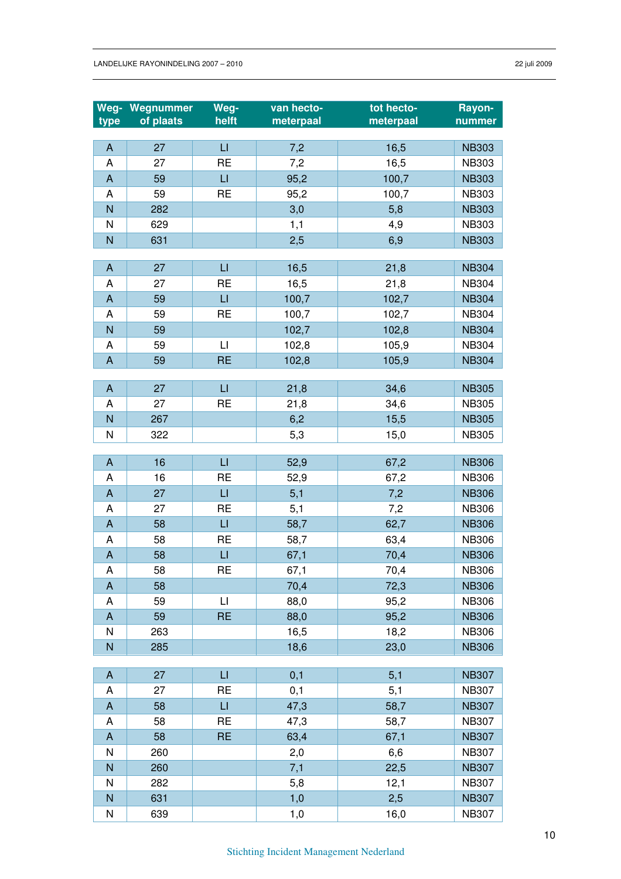| Weg-                      | Wegnummer | Weg-                    | van hecto- | tot hecto- | Rayon-       |
|---------------------------|-----------|-------------------------|------------|------------|--------------|
| type                      | of plaats | helft                   | meterpaal  | meterpaal  | nummer       |
| $\boldsymbol{\mathsf{A}}$ | 27        | $\sqcup$                | 7,2        | 16,5       | <b>NB303</b> |
| A                         | 27        | <b>RE</b>               | 7,2        | 16,5       | <b>NB303</b> |
| $\boldsymbol{\mathsf{A}}$ | 59        | $\sqcup$                | 95,2       | 100,7      | <b>NB303</b> |
| A                         | 59        | <b>RE</b>               | 95,2       | 100,7      | <b>NB303</b> |
| $\overline{N}$            | 282       |                         | 3,0        | 5,8        | <b>NB303</b> |
| N                         | 629       |                         | 1,1        | 4,9        | <b>NB303</b> |
| N                         | 631       |                         | 2,5        | 6,9        | <b>NB303</b> |
|                           |           |                         |            |            |              |
| $\boldsymbol{\mathsf{A}}$ | 27        | $\mathsf{L}\mathsf{I}$  | 16,5       | 21,8       | <b>NB304</b> |
| A                         | 27        | <b>RE</b>               | 16,5       | 21,8       | <b>NB304</b> |
| $\boldsymbol{\mathsf{A}}$ | 59        | $\sqcup$                | 100,7      | 102,7      | <b>NB304</b> |
| A                         | 59        | <b>RE</b>               | 100,7      | 102,7      | <b>NB304</b> |
| $\overline{N}$            | 59        |                         | 102,7      | 102,8      | <b>NB304</b> |
| A                         | 59        | $\lfloor \cdot \rfloor$ | 102,8      | 105,9      | <b>NB304</b> |
| $\boldsymbol{\mathsf{A}}$ | 59        | <b>RE</b>               | 102,8      | 105,9      | <b>NB304</b> |
| A                         | 27        | $\sqcup$                | 21,8       | 34,6       | <b>NB305</b> |
| A                         | 27        | <b>RE</b>               | 21,8       | 34,6       | <b>NB305</b> |
| ${\sf N}$                 | 267       |                         | 6,2        | 15,5       | <b>NB305</b> |
| N                         | 322       |                         | 5,3        | 15,0       | <b>NB305</b> |
|                           |           |                         |            |            |              |
| $\boldsymbol{\mathsf{A}}$ | 16        | $\sqcup$                | 52,9       | 67,2       | <b>NB306</b> |
| A                         | 16        | <b>RE</b>               | 52,9       | 67,2       | <b>NB306</b> |
| $\boldsymbol{\mathsf{A}}$ | 27        | $\sqcup$                | 5,1        | 7,2        | <b>NB306</b> |
| A                         | 27        | <b>RE</b>               | 5,1        | 7,2        | <b>NB306</b> |
| $\boldsymbol{\mathsf{A}}$ | 58        | $\sqcup$                | 58,7       | 62,7       | <b>NB306</b> |
| A                         | 58        | <b>RE</b>               | 58,7       | 63,4       | <b>NB306</b> |
| $\boldsymbol{\mathsf{A}}$ | 58        | $\sqcup$                | 67,1       | 70,4       | <b>NB306</b> |
| A                         | 58        | <b>RE</b>               | 67,1       | 70,4       | <b>NB306</b> |
| $\mathsf{A}$              | 58        |                         | 70,4       | 72,3       | <b>NB306</b> |
| Α                         | 59        | LI                      | 88,0       | 95,2       | <b>NB306</b> |
| $\boldsymbol{\mathsf{A}}$ | 59        | <b>RE</b>               | 88,0       | 95,2       | <b>NB306</b> |
| N                         | 263       |                         | 16,5       | 18,2       | <b>NB306</b> |
| $\overline{N}$            | 285       |                         | 18,6       | 23,0       | <b>NB306</b> |
| A                         | 27        | $\sqcup$                | 0,1        | 5,1        | <b>NB307</b> |
| A                         | 27        | <b>RE</b>               | 0,1        | 5,1        | <b>NB307</b> |
| $\boldsymbol{\mathsf{A}}$ | 58        | $\sqcup$                | 47,3       | 58,7       | <b>NB307</b> |
| A                         | 58        | <b>RE</b>               | 47,3       | 58,7       | <b>NB307</b> |
| $\boldsymbol{\mathsf{A}}$ | 58        | <b>RE</b>               | 63,4       | 67,1       | <b>NB307</b> |
| N                         | 260       |                         | 2,0        | 6,6        | <b>NB307</b> |
| $\mathsf{N}$              | 260       |                         | 7,1        | 22,5       | <b>NB307</b> |
| N                         | 282       |                         | 5,8        | 12,1       | <b>NB307</b> |
| $\overline{N}$            | 631       |                         | 1,0        | 2,5        | <b>NB307</b> |
| N                         | 639       |                         | 1,0        | 16,0       | NB307        |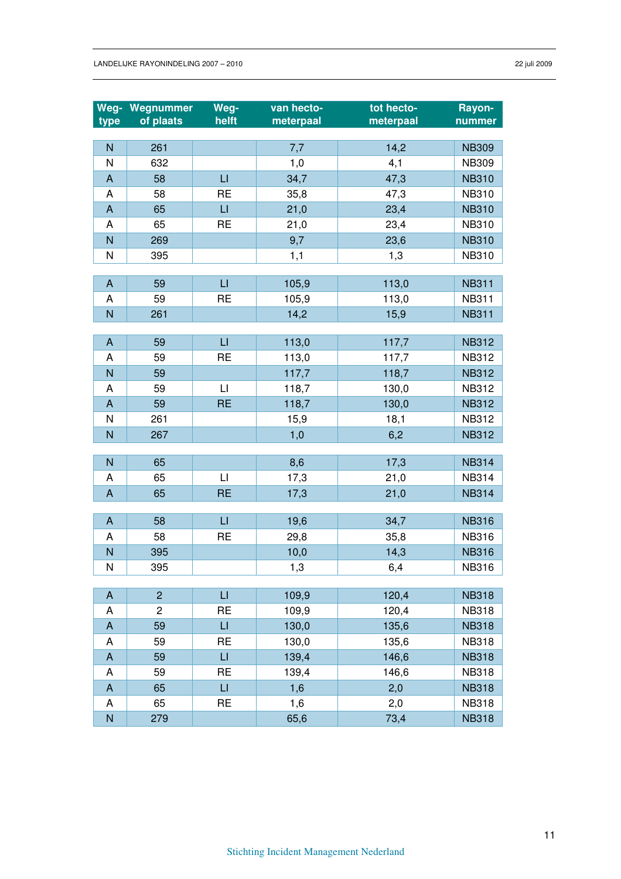| Weg-                      | Wegnummer      | Weg-<br>helft           | van hecto- | tot hecto- | Rayon-                       |
|---------------------------|----------------|-------------------------|------------|------------|------------------------------|
| type                      | of plaats      |                         | meterpaal  | meterpaal  | nummer                       |
| N                         | 261            |                         | 7,7        | 14,2       | <b>NB309</b>                 |
| N                         | 632            |                         | 1,0        | 4,1        | <b>NB309</b>                 |
| $\boldsymbol{\mathsf{A}}$ | 58             | $\sqcup$                | 34,7       | 47,3       | <b>NB310</b>                 |
| A                         | 58             | <b>RE</b>               | 35,8       | 47,3       | <b>NB310</b>                 |
| $\boldsymbol{\mathsf{A}}$ | 65             | $\Box$                  | 21,0       | 23,4       | <b>NB310</b>                 |
| A                         | 65             | <b>RE</b>               | 21,0       | 23,4       | <b>NB310</b>                 |
| N                         | 269            |                         | 9,7        | 23,6       | <b>NB310</b>                 |
| N                         | 395            |                         | 1,1        | 1,3        | <b>NB310</b>                 |
|                           |                |                         |            |            |                              |
| $\mathsf{A}$              | 59             | $\sqcup$                | 105,9      | 113,0      | <b>NB311</b>                 |
| A                         | 59             | <b>RE</b>               | 105,9      | 113,0      | <b>NB311</b>                 |
| N                         | 261            |                         | 14,2       | 15,9       | <b>NB311</b>                 |
|                           |                |                         |            |            |                              |
| $\boldsymbol{\mathsf{A}}$ | 59             | $\sqcup$                | 113,0      | 117,7      | <b>NB312</b>                 |
| A                         | 59             | <b>RE</b>               | 113,0      | 117,7      | <b>NB312</b>                 |
| N                         | 59             |                         | 117,7      | 118,7      | <b>NB312</b>                 |
| A                         | 59             | $\lfloor \cdot \rfloor$ | 118,7      | 130,0      | <b>NB312</b>                 |
| $\mathsf{A}$              | 59             | <b>RE</b>               | 118,7      | 130,0      | <b>NB312</b>                 |
| N                         | 261            |                         | 15,9       | 18,1       | <b>NB312</b>                 |
| N                         | 267            |                         | 1,0        | 6,2        | <b>NB312</b>                 |
|                           |                |                         |            |            |                              |
| N                         | 65             |                         | 8,6        | 17,3       | <b>NB314</b>                 |
| A                         | 65             | $\mathsf{L}$            | 17,3       | 21,0       | <b>NB314</b>                 |
| $\boldsymbol{\mathsf{A}}$ | 65             | <b>RE</b>               | 17,3       | 21,0       | <b>NB314</b>                 |
|                           |                |                         |            |            |                              |
| $\overline{A}$            | 58             | $\sqcup$                | 19,6       | 34,7       | <b>NB316</b><br><b>NB316</b> |
| A<br>N                    | 58<br>395      | <b>RE</b>               | 29,8       | 35,8       | <b>NB316</b>                 |
| $\mathsf{N}$              |                |                         | 10,0       | 14,3       | <b>NB316</b>                 |
|                           | 395            |                         | 1,3        | 6,4        |                              |
| $\mathsf{A}$              | $\overline{c}$ | $\sqcup$                | 109,9      | 120,4      | <b>NB318</b>                 |
| A                         | $\overline{c}$ | <b>RE</b>               | 109,9      | 120,4      | <b>NB318</b>                 |
| A                         | 59             | $\sqcup$                | 130,0      | 135,6      | <b>NB318</b>                 |
| Α                         | 59             | <b>RE</b>               | 130,0      | 135,6      | <b>NB318</b>                 |
| $\mathsf{A}$              | 59             | $\sqcup$                | 139,4      | 146,6      | <b>NB318</b>                 |
| Α                         | 59             | <b>RE</b>               | 139,4      | 146,6      | <b>NB318</b>                 |
| A                         | 65             | $\sqcup$                | 1,6        | 2,0        | <b>NB318</b>                 |
| A                         | 65             | <b>RE</b>               | 1,6        | 2,0        | <b>NB318</b>                 |
| $\mathsf{N}$              | 279            |                         | 65,6       | 73,4       | <b>NB318</b>                 |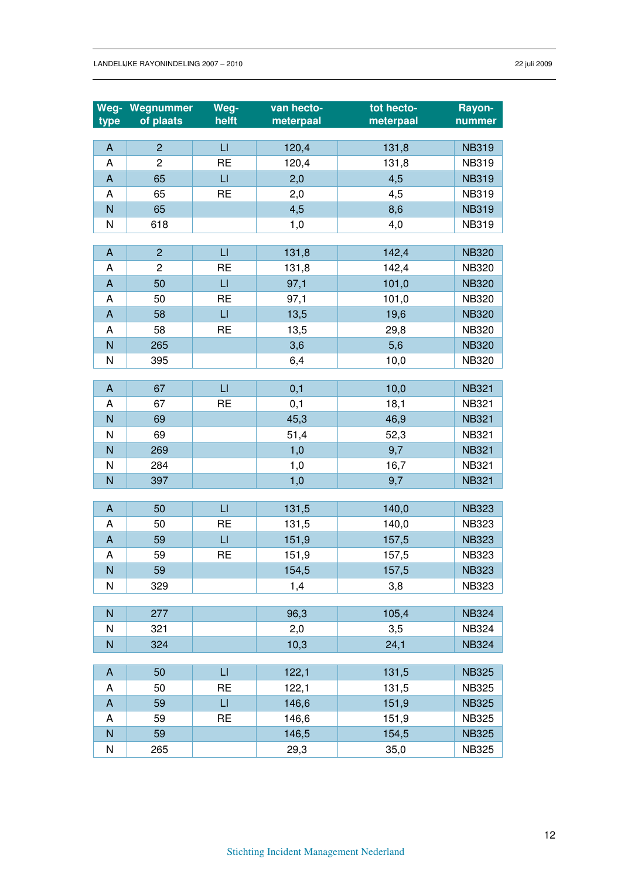| Weg-                           | Wegnummer      | Weg-         | van hecto- | tot hecto- | Rayon-       |
|--------------------------------|----------------|--------------|------------|------------|--------------|
| type                           | of plaats      | helft        | meterpaal  | meterpaal  | nummer       |
|                                |                |              |            |            |              |
| $\boldsymbol{\mathsf{A}}$      | $\overline{2}$ | $\sqcup$     | 120,4      | 131,8      | <b>NB319</b> |
| A                              | $\overline{c}$ | <b>RE</b>    | 120,4      | 131,8      | <b>NB319</b> |
| $\mathsf{A}$                   | 65             | $\mathsf{L}$ | 2,0        | 4,5        | <b>NB319</b> |
| A                              | 65             | <b>RE</b>    | 2,0        | 4,5        | <b>NB319</b> |
| N                              | 65             |              | 4,5        | 8,6        | <b>NB319</b> |
| N                              | 618            |              | 1,0        | 4,0        | <b>NB319</b> |
|                                |                |              |            |            |              |
| $\mathsf{A}$                   | $\overline{2}$ | $\sqcup$     | 131,8      | 142,4      | <b>NB320</b> |
| A                              | $\overline{c}$ | <b>RE</b>    | 131,8      | 142,4      | <b>NB320</b> |
| $\boldsymbol{\mathsf{A}}$      | 50             | $\sqcup$     | 97,1       | 101,0      | <b>NB320</b> |
| A                              | 50             | <b>RE</b>    | 97,1       | 101,0      | <b>NB320</b> |
| $\mathsf{A}$                   | 58             | $\sqcup$     | 13,5       | 19,6       | <b>NB320</b> |
| A                              | 58             | <b>RE</b>    | 13,5       | 29,8       | <b>NB320</b> |
| $\mathsf{N}$                   | 265            |              | 3,6        | 5,6        | <b>NB320</b> |
| N                              | 395            |              | 6,4        | 10,0       | <b>NB320</b> |
|                                | 67             | $\sqcup$     |            |            |              |
| $\boldsymbol{\mathsf{A}}$<br>A | 67             | <b>RE</b>    | 0,1        | 10,0       | <b>NB321</b> |
|                                |                |              | 0,1        | 18,1       | <b>NB321</b> |
| N                              | 69             |              | 45,3       | 46,9       | <b>NB321</b> |
| N                              | 69             |              | 51,4       | 52,3       | <b>NB321</b> |
| N                              | 269            |              | 1,0        | 9,7        | <b>NB321</b> |
| N                              | 284            |              | 1,0        | 16,7       | <b>NB321</b> |
| N                              | 397            |              | 1,0        | 9,7        | <b>NB321</b> |
| $\mathsf{A}$                   | 50             | LI           | 131,5      | 140,0      | <b>NB323</b> |
| A                              | 50             | <b>RE</b>    | 131,5      | 140,0      | <b>NB323</b> |
| $\mathsf{A}$                   | 59             | $\sqcup$     | 151,9      | 157,5      | <b>NB323</b> |
| A                              | 59             | <b>RE</b>    | 151,9      | 157,5      | <b>NB323</b> |
| N                              | 59             |              | 154,5      | 157,5      | <b>NB323</b> |
| N                              | 329            |              | 1,4        | 3,8        | <b>NB323</b> |
|                                |                |              |            |            |              |
| N                              | 277            |              | 96,3       | 105,4      | <b>NB324</b> |
| N                              | 321            |              | 2,0        | 3,5        | <b>NB324</b> |
| N                              | 324            |              | 10,3       | 24,1       | <b>NB324</b> |
|                                |                |              |            |            |              |
| $\mathsf{A}$                   | 50             | LI           | 122,1      | 131,5      | <b>NB325</b> |
| A                              | 50             | <b>RE</b>    | 122,1      | 131,5      | <b>NB325</b> |
| $\mathsf{A}$                   | 59             | $\sqcup$     | 146,6      | 151,9      | <b>NB325</b> |
| A                              | 59             | <b>RE</b>    | 146,6      | 151,9      | <b>NB325</b> |
| $\mathsf{N}$                   | 59             |              | 146,5      | 154,5      | <b>NB325</b> |
| N                              | 265            |              | 29,3       | 35,0       | <b>NB325</b> |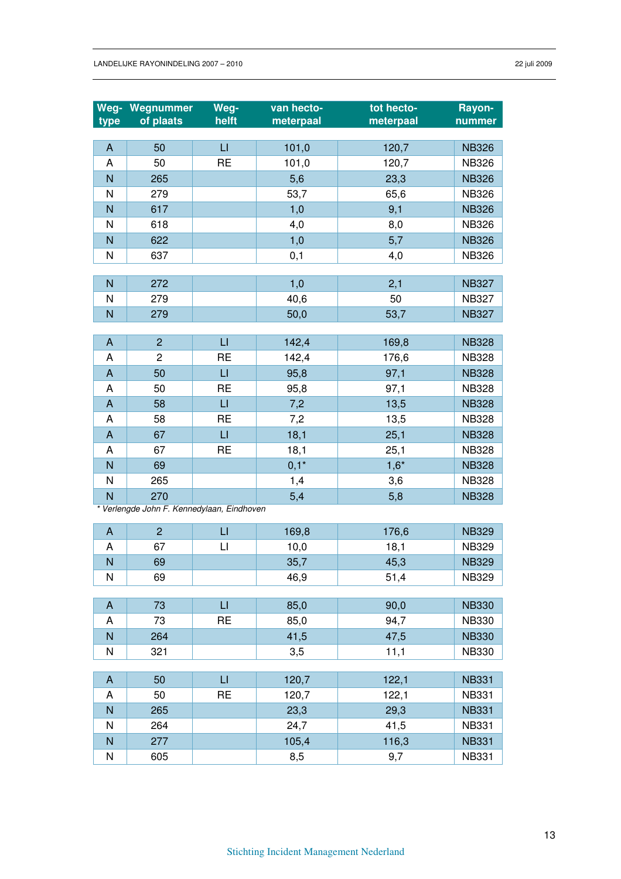| Weg-                      | Wegnummer                                  | Weg-                   | van hecto- | tot hecto- | Rayon-       |
|---------------------------|--------------------------------------------|------------------------|------------|------------|--------------|
| type                      | of plaats                                  | helft                  | meterpaal  | meterpaal  | nummer       |
|                           |                                            |                        |            |            |              |
| $\boldsymbol{\mathsf{A}}$ | 50                                         | $\mathsf{L}$           | 101,0      | 120,7      | <b>NB326</b> |
| A                         | 50                                         | <b>RE</b>              | 101,0      | 120,7      | <b>NB326</b> |
| N                         | 265                                        |                        | 5,6        | 23,3       | <b>NB326</b> |
| N                         | 279                                        |                        | 53,7       | 65,6       | <b>NB326</b> |
| N                         | 617                                        |                        | 1,0        | 9,1        | <b>NB326</b> |
| N                         | 618                                        |                        | 4,0        | 8,0        | <b>NB326</b> |
| N                         | 622                                        |                        | 1,0        | 5,7        | <b>NB326</b> |
| N                         | 637                                        |                        | 0,1        | 4,0        | <b>NB326</b> |
|                           |                                            |                        |            |            |              |
| N                         | 272                                        |                        | 1,0        | 2,1        | <b>NB327</b> |
| N                         | 279                                        |                        | 40,6       | 50         | <b>NB327</b> |
| N                         | 279                                        |                        | 50,0       | 53,7       | <b>NB327</b> |
| $\mathsf{A}$              | $\overline{2}$                             | $\mathsf{L}$           |            |            | <b>NB328</b> |
|                           | $\overline{c}$                             | <b>RE</b>              | 142,4      | 169,8      |              |
| A                         |                                            |                        | 142,4      | 176,6      | <b>NB328</b> |
| $\boldsymbol{\mathsf{A}}$ | 50                                         | $\Box$                 | 95,8       | 97,1       | <b>NB328</b> |
| A                         | 50                                         | <b>RE</b>              | 95,8       | 97,1       | <b>NB328</b> |
| $\boldsymbol{\mathsf{A}}$ | 58                                         | $\sqcup$               | 7,2        | 13,5       | <b>NB328</b> |
| A                         | 58                                         | <b>RE</b>              | 7,2        | 13,5       | <b>NB328</b> |
| A                         | 67                                         | $\sqcup$               | 18,1       | 25,1       | <b>NB328</b> |
| Α                         | 67                                         | <b>RE</b>              | 18,1       | 25,1       | <b>NB328</b> |
| N                         | 69                                         |                        | $0,1*$     | $1,6*$     | <b>NB328</b> |
| N                         | 265                                        |                        | 1,4        | 3,6        | <b>NB328</b> |
| N                         | 270                                        |                        | 5,4        | 5,8        | <b>NB328</b> |
|                           | * Verlengde John F. Kennedylaan, Eindhoven |                        |            |            |              |
| $\boldsymbol{\mathsf{A}}$ | $\overline{2}$                             | $\sqcup$               | 169,8      | 176,6      | <b>NB329</b> |
| Α                         | 67                                         | LI                     | 10,0       | 18,1       | <b>NB329</b> |
| N                         | 69                                         |                        | 35,7       | 45,3       | <b>NB329</b> |
| Ν                         | 69                                         |                        | 46,9       | 51,4       | <b>NB329</b> |
|                           |                                            |                        |            |            |              |
| $\mathsf{A}$              | 73                                         | $\mathsf{L}\mathsf{L}$ | 85,0       | 90,0       | <b>NB330</b> |
| Α                         | 73                                         | <b>RE</b>              | 85,0       | 94,7       | <b>NB330</b> |
| N                         | 264                                        |                        | 41,5       | 47,5       | <b>NB330</b> |
| N                         | 321                                        |                        | 3,5        | 11,1       | <b>NB330</b> |
|                           |                                            |                        |            |            |              |
| A                         | 50                                         | $\sqcup$               | 120,7      | 122,1      | <b>NB331</b> |
| A                         | 50                                         | <b>RE</b>              | 120,7      | 122,1      | <b>NB331</b> |
| N                         | 265                                        |                        | 23,3       | 29,3       | <b>NB331</b> |
| N                         | 264                                        |                        | 24,7       | 41,5       | <b>NB331</b> |
| N                         | 277                                        |                        | 105,4      | 116,3      | <b>NB331</b> |
| N                         | 605                                        |                        | 8,5        | 9,7        | <b>NB331</b> |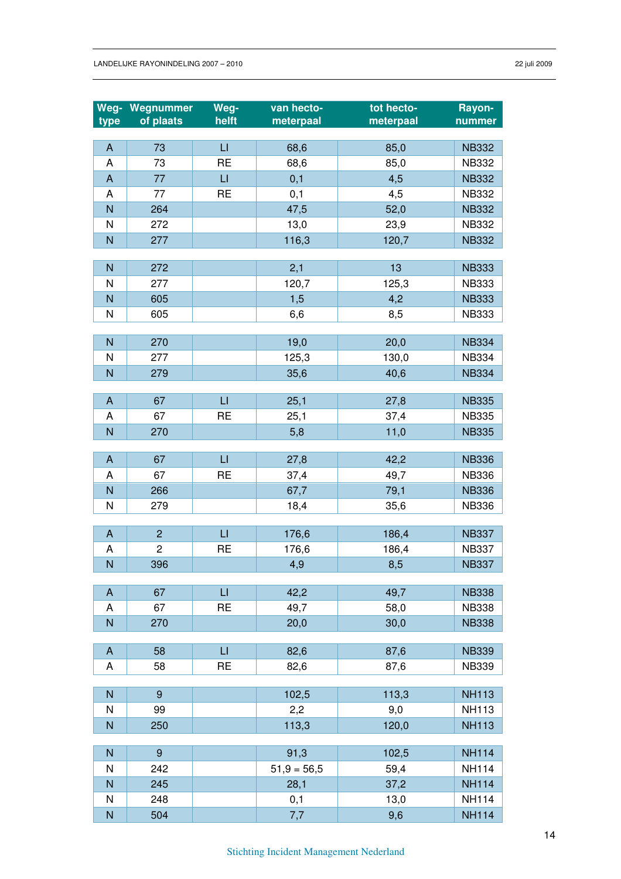|                           | Weg- Wegnummer | Weg-         | van hecto-    | tot hecto- | Rayon-       |
|---------------------------|----------------|--------------|---------------|------------|--------------|
| type                      | of plaats      | helft        | meterpaal     | meterpaal  | nummer       |
| $\boldsymbol{\mathsf{A}}$ | 73             | $\sqcup$     | 68,6          | 85,0       | <b>NB332</b> |
| A                         | 73             | <b>RE</b>    | 68,6          | 85,0       | <b>NB332</b> |
| $\boldsymbol{\mathsf{A}}$ | 77             | $\sqcup$     | 0,1           | 4,5        | <b>NB332</b> |
| A                         | 77             | <b>RE</b>    | 0,1           | 4,5        | <b>NB332</b> |
| N                         | 264            |              | 47,5          | 52,0       | <b>NB332</b> |
| N                         | 272            |              | 13,0          | 23,9       | <b>NB332</b> |
| N                         | 277            |              | 116,3         | 120,7      | <b>NB332</b> |
|                           |                |              |               |            |              |
| N                         | 272            |              | 2,1           | 13         | <b>NB333</b> |
| N                         | 277            |              | 120,7         | 125,3      | <b>NB333</b> |
| N                         | 605            |              | 1,5           | 4,2        | <b>NB333</b> |
| N                         | 605            |              | 6,6           | 8,5        | <b>NB333</b> |
|                           |                |              |               |            |              |
| N                         | 270            |              | 19,0          | 20,0       | <b>NB334</b> |
| N                         | 277            |              | 125,3         | 130,0      | <b>NB334</b> |
| $\overline{N}$            | 279            |              | 35,6          | 40,6       | <b>NB334</b> |
| A                         | 67             | $\sqcup$     | 25,1          | 27,8       | <b>NB335</b> |
| A                         | 67             | <b>RE</b>    | 25,1          | 37,4       | <b>NB335</b> |
| $\overline{N}$            | 270            |              | 5,8           | 11,0       | <b>NB335</b> |
|                           |                |              |               |            |              |
| $\mathsf{A}$              | 67             | $\mathsf{L}$ | 27,8          | 42,2       | <b>NB336</b> |
| A                         | 67             | <b>RE</b>    | 37,4          | 49,7       | <b>NB336</b> |
| $\overline{N}$            | 266            |              | 67,7          | 79,1       | <b>NB336</b> |
| N                         | 279            |              | 18,4          | 35,6       | <b>NB336</b> |
|                           |                |              |               |            |              |
| $\boldsymbol{\mathsf{A}}$ | $\overline{2}$ | $\sqcup$     | 176,6         | 186,4      | <b>NB337</b> |
| A                         | $\overline{c}$ | <b>RE</b>    | 176,6         | 186,4      | <b>NB337</b> |
| ${\sf N}$                 | 396            |              | 4,9           | 8,5        | <b>NB337</b> |
| $\boldsymbol{\mathsf{A}}$ | 67             | $\sqcup$     | 42,2          | 49,7       | <b>NB338</b> |
| Α                         | 67             | <b>RE</b>    | 49,7          | 58,0       | <b>NB338</b> |
| N                         | 270            |              | 20,0          | 30,0       | <b>NB338</b> |
|                           |                |              |               |            |              |
| A                         | 58             | $\Box$       | 82,6          | 87,6       | <b>NB339</b> |
| Α                         | 58             | <b>RE</b>    | 82,6          | 87,6       | <b>NB339</b> |
|                           |                |              |               |            |              |
| $\mathsf{N}$              | 9              |              | 102,5         | 113,3      | <b>NH113</b> |
| N                         | 99             |              | 2,2           | 9,0        | <b>NH113</b> |
| $\mathsf{N}$              | 250            |              | 113,3         | 120,0      | <b>NH113</b> |
| ${\sf N}$                 | $\overline{9}$ |              | 91,3          | 102,5      | <b>NH114</b> |
| N                         | 242            |              | $51,9 = 56,5$ | 59,4       | <b>NH114</b> |
| $\mathsf{N}$              | 245            |              | 28,1          | 37,2       | <b>NH114</b> |
| N                         | 248            |              | 0,1           | 13,0       | <b>NH114</b> |
| ${\sf N}$                 | 504            |              | 7,7           | 9,6        | <b>NH114</b> |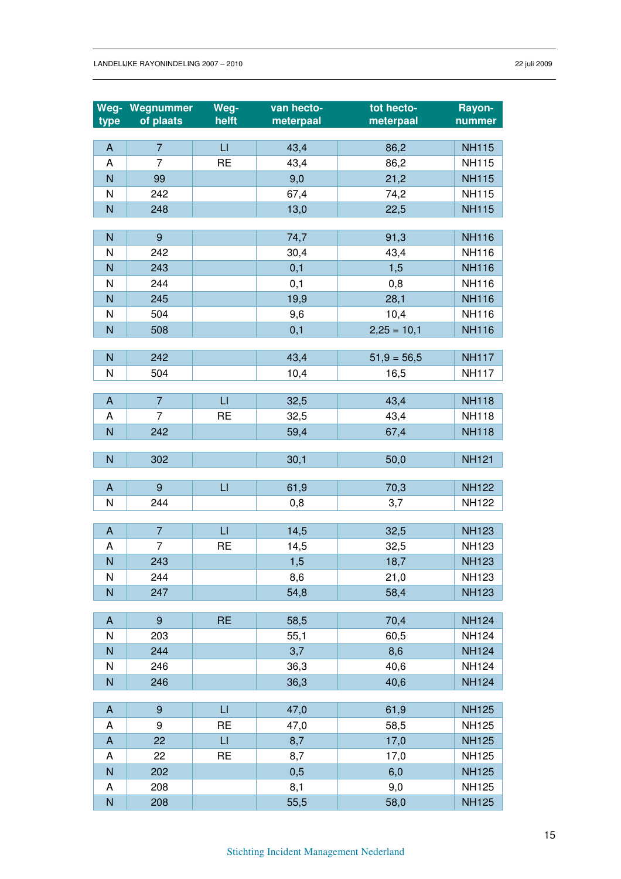|                           | Weg- Wegnummer   | Weg-                   | van hecto-  | tot hecto-    | Rayon-                       |
|---------------------------|------------------|------------------------|-------------|---------------|------------------------------|
| type                      | of plaats        | helft                  | meterpaal   | meterpaal     | nummer                       |
|                           |                  |                        |             |               |                              |
| $\mathsf{A}$              | $\overline{7}$   | $\Box$                 | 43,4        | 86,2          | <b>NH115</b>                 |
| A                         | $\overline{7}$   | <b>RE</b>              | 43,4        | 86,2          | <b>NH115</b>                 |
| $\overline{\mathsf{N}}$   | 99               |                        | 9,0         | 21,2          | <b>NH115</b>                 |
| N                         | 242              |                        | 67,4        | 74,2          | <b>NH115</b>                 |
| $\overline{\mathsf{N}}$   | 248              |                        | 13,0        | 22,5          | <b>NH115</b>                 |
| $\overline{N}$            | $\boldsymbol{9}$ |                        | 74,7        | 91,3          | <b>NH116</b>                 |
| N                         | 242              |                        | 30,4        | 43,4          | <b>NH116</b>                 |
| $\overline{N}$            | 243              |                        | 0,1         | 1,5           | <b>NH116</b>                 |
| N                         | 244              |                        | 0,1         | 0,8           | <b>NH116</b>                 |
| $\overline{N}$            | 245              |                        | 19,9        | 28,1          | <b>NH116</b>                 |
| N                         | 504              |                        | 9,6         | 10,4          | <b>NH116</b>                 |
| $\overline{N}$            | 508              |                        | 0,1         | $2,25 = 10,1$ | <b>NH116</b>                 |
|                           |                  |                        |             |               |                              |
| $\overline{N}$            | 242              |                        | 43,4        | $51,9 = 56,5$ | <b>NH117</b>                 |
| N                         | 504              |                        | 10,4        | 16,5          | <b>NH117</b>                 |
|                           |                  |                        |             |               |                              |
| $\mathsf{A}$              | $\overline{7}$   | $\Box$                 | 32,5        | 43,4          | <b>NH118</b>                 |
| A                         | 7                | <b>RE</b>              | 32,5        | 43,4          | <b>NH118</b>                 |
| $\overline{N}$            | 242              |                        | 59,4        | 67,4          | <b>NH118</b>                 |
| $\overline{N}$            | 302              |                        | 30,1        | 50,0          | <b>NH121</b>                 |
|                           |                  |                        |             |               |                              |
| $\overline{A}$            | 9                | $\Box$                 | 61,9        | 70,3          | <b>NH122</b>                 |
| N                         | 244              |                        | 0,8         | 3,7           | <b>NH122</b>                 |
|                           |                  |                        |             |               |                              |
| $\mathsf{A}$              | $\overline{7}$   | $\sqcup$               | 14,5        | 32,5          | <b>NH123</b>                 |
| A                         | $\overline{7}$   | <b>RE</b>              | 14,5        | 32,5          | <b>NH123</b>                 |
| N                         | 243              |                        | 1,5         | 18,7          | <b>NH123</b>                 |
| N                         | 244              |                        | 8,6         | 21,0          | <b>NH123</b>                 |
| N                         | 247              |                        | 54,8        | 58,4          | <b>NH123</b>                 |
|                           | $\boldsymbol{9}$ | <b>RE</b>              |             |               |                              |
| $\mathsf{A}$<br>N         | 203              |                        | 58,5        | 70,4          | <b>NH124</b><br><b>NH124</b> |
| ${\sf N}$                 | 244              |                        | 55,1<br>3,7 | 60,5<br>8,6   | <b>NH124</b>                 |
| N                         | 246              |                        | 36,3        | 40,6          | <b>NH124</b>                 |
| $\overline{N}$            | 246              |                        | 36,3        | 40,6          | <b>NH124</b>                 |
|                           |                  |                        |             |               |                              |
| $\mathsf{A}$              | 9                | $\mathsf{L}\mathsf{L}$ | 47,0        | 61,9          | <b>NH125</b>                 |
| A                         | 9                | <b>RE</b>              | 47,0        | 58,5          | <b>NH125</b>                 |
| $\boldsymbol{\mathsf{A}}$ | 22               | $\mathsf{L}\mathsf{L}$ | 8,7         | 17,0          | <b>NH125</b>                 |
| A                         | 22               | <b>RE</b>              | 8,7         | 17,0          | <b>NH125</b>                 |
| ${\sf N}$                 | 202              |                        | 0,5         | 6,0           | <b>NH125</b>                 |
| A                         | 208              |                        | 8,1         | 9,0           | <b>NH125</b>                 |
| $\mathsf{N}$              | 208              |                        | 55,5        | 58,0          | <b>NH125</b>                 |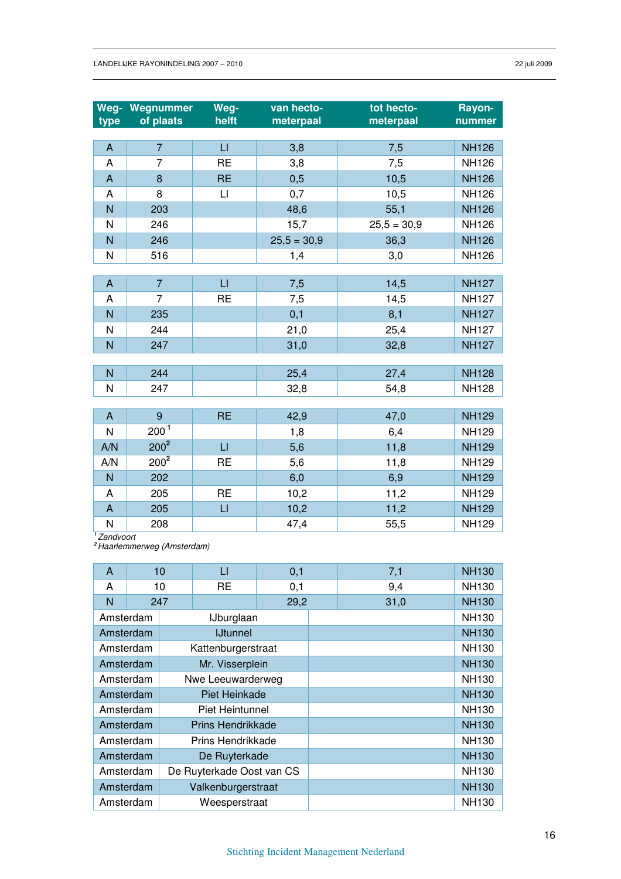| type           | <b>Weg- Wegnummer</b><br>of plaats | Weg-<br>helft          | van hecto-<br>meterpaal | tot hecto-<br>meterpaal | Rayon-<br>nummer |
|----------------|------------------------------------|------------------------|-------------------------|-------------------------|------------------|
|                |                                    |                        |                         |                         |                  |
| $\mathsf{A}$   | $\overline{7}$                     | $\mathsf{L}\mathsf{I}$ | 3,8                     | 7,5                     | <b>NH126</b>     |
| A              | $\overline{7}$                     | <b>RE</b>              | 3,8                     | 7,5                     | <b>NH126</b>     |
| A              | 8                                  | <b>RE</b>              | 0,5                     | 10,5                    | <b>NH126</b>     |
| A              | 8                                  | $\sqcup$               | 0,7                     | 10,5                    | <b>NH126</b>     |
| N              | 203                                |                        | 48,6                    | 55,1                    | <b>NH126</b>     |
| N              | 246                                |                        | 15,7                    | $25,5 = 30,9$           | <b>NH126</b>     |
| N              | 246                                |                        | $25,5 = 30,9$           | 36,3                    | <b>NH126</b>     |
| N              | 516                                |                        | 1,4                     | 3,0                     | <b>NH126</b>     |
|                |                                    |                        |                         |                         |                  |
| A              | $\overline{7}$                     | $\sqcup$               | 7,5                     | 14,5                    | <b>NH127</b>     |
| A              | $\overline{7}$                     | <b>RE</b>              | 7,5                     | 14,5                    | <b>NH127</b>     |
| N              | 235                                |                        | 0,1                     | 8,1                     | <b>NH127</b>     |
| N              | 244                                |                        | 21,0                    | 25,4                    | <b>NH127</b>     |
| $\overline{N}$ | 247                                |                        | 31,0                    | 32,8                    | <b>NH127</b>     |
|                |                                    |                        |                         |                         |                  |
| N              | 244                                |                        | 25,4                    | 27,4                    | <b>NH128</b>     |
| N              | 247                                |                        | 32,8                    | 54,8                    | <b>NH128</b>     |
|                |                                    |                        |                         |                         |                  |
| A              | 9                                  | <b>RE</b>              | 42,9                    | 47,0                    | <b>NH129</b>     |
| N              | 200 <sup>1</sup>                   |                        | 1,8                     | 6,4                     | <b>NH129</b>     |
| A/N            | $200^2$                            | $\mathsf{L}\mathsf{I}$ | 5,6                     | 11,8                    | <b>NH129</b>     |
| A/N            | $200^2$                            | <b>RE</b>              | 5,6                     | 11,8                    | <b>NH129</b>     |
| N              | 202                                |                        | 6,0                     | 6,9                     | <b>NH129</b>     |
| A              | 205                                | <b>RE</b>              | 10,2                    | 11,2                    | <b>NH129</b>     |
| $\mathsf{A}$   | 205                                | $\sqcup$               | 10,2                    | 11,2                    | <b>NH129</b>     |
| N<br>$1 - 7$   | 208                                |                        | 47,4                    | 55,5                    | <b>NH129</b>     |

**<sup>1</sup>**Zandvoort

**<sup>2</sup>**Haarlemmerweg (Amsterdam)

| A         |           | 10<br>LI                  |                          | 0,1  | 7,1          | <b>NH130</b> |
|-----------|-----------|---------------------------|--------------------------|------|--------------|--------------|
| A         |           | 10                        | RE                       | 0,1  | 9,4          | <b>NH130</b> |
| N         |           | 247                       |                          | 29,2 | 31,0         | <b>NH130</b> |
| Amsterdam |           |                           | IJburglaan               |      |              | <b>NH130</b> |
| Amsterdam |           |                           | <b>IJtunnel</b>          |      |              | <b>NH130</b> |
|           | Amsterdam |                           | Kattenburgerstraat       |      |              | <b>NH130</b> |
| Amsterdam |           |                           | Mr. Visserplein          |      |              | <b>NH130</b> |
|           | Amsterdam | Nwe Leeuwarderweg         |                          |      | <b>NH130</b> |              |
| Amsterdam |           |                           | Piet Heinkade            |      |              | <b>NH130</b> |
|           | Amsterdam |                           | Piet Heintunnel          |      |              | <b>NH130</b> |
| Amsterdam |           |                           | <b>Prins Hendrikkade</b> |      |              | <b>NH130</b> |
|           | Amsterdam |                           | Prins Hendrikkade        |      |              | <b>NH130</b> |
| Amsterdam |           | De Ruyterkade             |                          |      |              | <b>NH130</b> |
|           | Amsterdam | De Ruyterkade Oost van CS |                          |      |              | <b>NH130</b> |
| Amsterdam |           | Valkenburgerstraat        |                          |      |              | <b>NH130</b> |
|           | Amsterdam |                           | Weesperstraat            |      |              | <b>NH130</b> |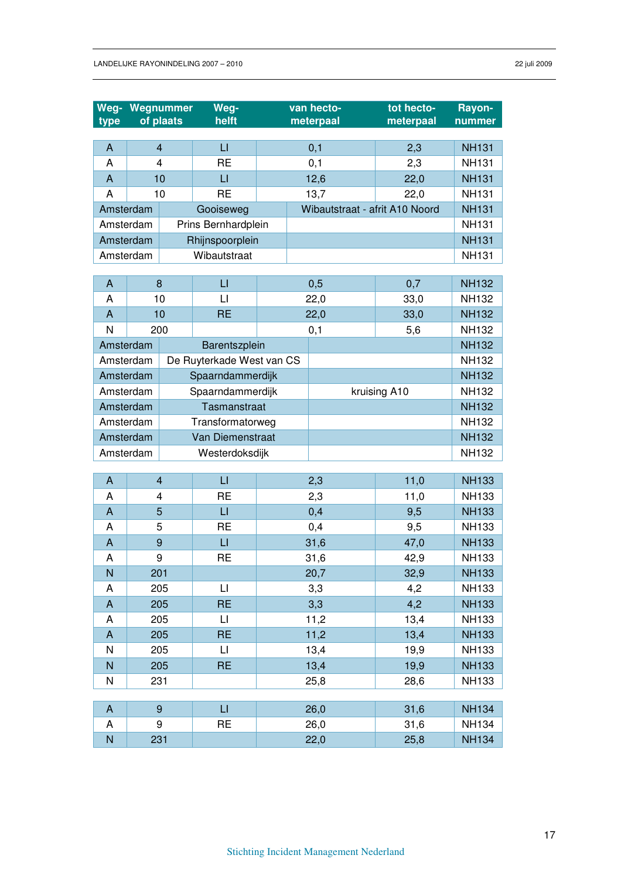| Weg-<br>type              |           | Wegnummer<br>of plaats | Weg-<br>helft             |                                  |  | van hecto-<br>meterpaal        | tot hecto-<br>meterpaal | Rayon-<br>nummer |
|---------------------------|-----------|------------------------|---------------------------|----------------------------------|--|--------------------------------|-------------------------|------------------|
|                           |           |                        |                           |                                  |  |                                |                         |                  |
| A                         |           | $\overline{4}$         | $\sqcup$                  |                                  |  | 0,1                            | 2,3                     | <b>NH131</b>     |
| A                         |           | $\overline{4}$         | <b>RE</b>                 |                                  |  | 0,1                            | 2,3                     | <b>NH131</b>     |
| A                         |           | 10                     | $\sqcup$                  |                                  |  | 12,6                           | 22,0                    | <b>NH131</b>     |
| Α                         |           | 10                     | <b>RE</b>                 |                                  |  | 13,7                           | 22,0                    | <b>NH131</b>     |
| Amsterdam                 |           |                        | Gooiseweg                 |                                  |  | Wibautstraat - afrit A10 Noord |                         | <b>NH131</b>     |
|                           | Amsterdam |                        | Prins Bernhardplein       |                                  |  |                                |                         | <b>NH131</b>     |
| Amsterdam                 |           |                        | Rhijnspoorplein           |                                  |  |                                |                         | <b>NH131</b>     |
|                           | Amsterdam |                        | Wibautstraat              |                                  |  |                                |                         | <b>NH131</b>     |
| A                         |           | 8                      | $\Box$                    |                                  |  | 0,5                            | 0,7                     | <b>NH132</b>     |
| A                         |           | 10                     | $\mathsf{L}$              |                                  |  | 22,0                           | 33,0                    | <b>NH132</b>     |
| A                         |           | 10                     | <b>RE</b>                 |                                  |  | 22,0                           | 33,0                    | <b>NH132</b>     |
| N                         |           | 200                    |                           |                                  |  | 0,1                            | 5,6                     | <b>NH132</b>     |
| Amsterdam                 |           |                        | Barentszplein             |                                  |  |                                |                         | <b>NH132</b>     |
| Amsterdam                 |           |                        | De Ruyterkade West van CS |                                  |  |                                |                         | <b>NH132</b>     |
| Amsterdam                 |           |                        |                           | Spaarndammerdijk                 |  |                                | <b>NH132</b>            |                  |
|                           | Amsterdam |                        |                           | kruising A10<br>Spaarndammerdijk |  |                                | <b>NH132</b>            |                  |
|                           | Amsterdam |                        |                           | Tasmanstraat                     |  |                                | <b>NH132</b>            |                  |
|                           | Amsterdam |                        |                           | Transformatorweg                 |  |                                | <b>NH132</b>            |                  |
| Amsterdam                 |           |                        | Van Diemenstraat          |                                  |  |                                |                         | <b>NH132</b>     |
|                           | Amsterdam |                        | Westerdoksdijk            |                                  |  |                                |                         | <b>NH132</b>     |
|                           |           |                        |                           |                                  |  |                                |                         |                  |
| $\boldsymbol{\mathsf{A}}$ |           | $\overline{4}$         | $\mathsf{L}$              |                                  |  | 2,3                            | 11,0                    | <b>NH133</b>     |
| A                         |           | $\overline{4}$         | <b>RE</b>                 |                                  |  | 2,3                            | 11,0                    | <b>NH133</b>     |
| $\boldsymbol{\mathsf{A}}$ |           | 5                      | $\sqcup$                  |                                  |  | 0,4                            | 9,5                     | <b>NH133</b>     |
| A                         |           | 5                      | <b>RE</b>                 |                                  |  | 0,4                            | 9,5                     | <b>NH133</b>     |
| A                         |           | 9                      | $\sqcup$                  |                                  |  | 31,6                           | 47,0                    | <b>NH133</b>     |
| A                         |           | 9                      | <b>RE</b>                 |                                  |  | 31,6                           | 42,9                    | <b>NH133</b>     |
| N                         |           | 201                    |                           |                                  |  | 20,7                           | 32,9                    | <b>NH133</b>     |
| A                         |           | 205                    | П                         |                                  |  | 3,3                            | 4,2                     | <b>NH133</b>     |
| A                         |           | 205                    | <b>RE</b>                 |                                  |  | 3,3                            | 4,2                     | <b>NH133</b>     |
| A                         |           | 205                    | $\lfloor \rfloor$         |                                  |  | 11,2                           | 13,4                    | <b>NH133</b>     |
| $\mathsf{A}$              |           | 205                    | <b>RE</b>                 |                                  |  | 11,2                           | 13,4                    | <b>NH133</b>     |
| Ν                         |           | 205                    | LI                        |                                  |  | 13,4                           | 19,9                    | <b>NH133</b>     |
| N                         |           | 205                    | <b>RE</b>                 |                                  |  | 13,4                           | 19,9                    | <b>NH133</b>     |
| Ν                         |           | 231                    |                           |                                  |  | 25,8                           | 28,6                    | <b>NH133</b>     |
| A                         |           | 9                      | $\mathsf{L}\mathsf{L}$    |                                  |  | 26,0                           | 31,6                    | <b>NH134</b>     |
| A                         |           | 9                      | <b>RE</b>                 |                                  |  | 26,0                           | 31,6                    | <b>NH134</b>     |
| N                         |           | 231                    |                           |                                  |  | 22,0                           | 25,8                    | <b>NH134</b>     |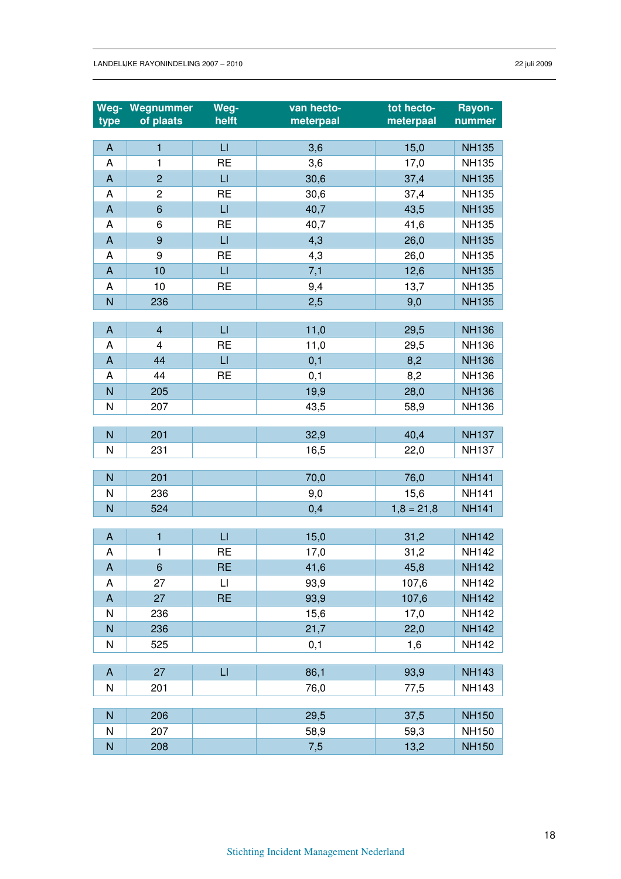|                           | Weg- Wegnummer | Weg-                    | van hecto- | tot hecto-   | Rayon-       |
|---------------------------|----------------|-------------------------|------------|--------------|--------------|
| type                      | of plaats      | helft                   | meterpaal  | meterpaal    | nummer       |
|                           |                |                         |            |              |              |
| A                         | $\mathbf{1}$   | $\sqcup$                | 3,6        | 15,0         | <b>NH135</b> |
| A                         | 1              | <b>RE</b>               | 3,6        | 17,0         | <b>NH135</b> |
| $\boldsymbol{\mathsf{A}}$ | $\overline{2}$ | $\overline{\mathsf{L}}$ | 30,6       | 37,4         | <b>NH135</b> |
| A                         | $\overline{c}$ | <b>RE</b>               | 30,6       | 37,4         | <b>NH135</b> |
| $\mathsf{A}$              | $6\phantom{1}$ | $\Box$                  | 40,7       | 43,5         | <b>NH135</b> |
| Α                         | 6              | <b>RE</b>               | 40,7       | 41,6         | <b>NH135</b> |
| $\boldsymbol{\mathsf{A}}$ | 9              | $\mathsf{L}\mathsf{I}$  | 4,3        | 26,0         | <b>NH135</b> |
| A                         | 9              | <b>RE</b>               | 4,3        | 26,0         | <b>NH135</b> |
| $\boldsymbol{\mathsf{A}}$ | 10             | LI.                     | 7,1        | 12,6         | <b>NH135</b> |
| A                         | 10             | <b>RE</b>               | 9,4        | 13,7         | <b>NH135</b> |
| N                         | 236            |                         | 2,5        | 9,0          | <b>NH135</b> |
|                           |                |                         |            |              |              |
| $\boldsymbol{\mathsf{A}}$ | $\overline{4}$ | $\sqcup$                | 11,0       | 29,5         | <b>NH136</b> |
| A                         | 4              | <b>RE</b>               | 11,0       | 29,5         | <b>NH136</b> |
| $\boldsymbol{\mathsf{A}}$ | 44             | $\overline{\mathsf{L}}$ | 0,1        | 8,2          | <b>NH136</b> |
| A                         | 44             | <b>RE</b>               | 0,1        | 8,2          | <b>NH136</b> |
| N                         | 205            |                         | 19,9       | 28,0         | <b>NH136</b> |
| ${\sf N}$                 | 207            |                         | 43,5       | 58,9         | <b>NH136</b> |
|                           |                |                         |            |              |              |
| $\overline{N}$            | 201            |                         | 32,9       | 40,4         | <b>NH137</b> |
| N                         | 231            |                         | 16,5       | 22,0         | <b>NH137</b> |
|                           |                |                         |            |              |              |
| $\overline{N}$            | 201            |                         | 70,0       | 76,0         | <b>NH141</b> |
| N                         | 236            |                         | 9,0        | 15,6         | <b>NH141</b> |
| N                         | 524            |                         | 0,4        | $1,8 = 21,8$ | <b>NH141</b> |
|                           |                |                         |            |              |              |
| $\boldsymbol{\mathsf{A}}$ | $\mathbf{1}$   | $\sqcup$                | 15,0       | 31,2         | <b>NH142</b> |
| A                         | 1              | <b>RE</b>               | 17,0       | 31,2         | <b>NH142</b> |
| A                         | 6              | <b>RE</b>               | 41,6       | 45,8         | <b>NH142</b> |
| A                         | 27             | П                       | 93,9       | 107,6        | <b>NH142</b> |
| $\boldsymbol{\mathsf{A}}$ | 27             | <b>RE</b>               | 93,9       | 107,6        | <b>NH142</b> |
| N                         | 236            |                         | 15,6       | 17,0         | <b>NH142</b> |
| $\overline{N}$            | 236            |                         | 21,7       | 22,0         | <b>NH142</b> |
| ${\sf N}$                 | 525            |                         | 0,1        | 1,6          | <b>NH142</b> |
|                           | 27             | $\sqcup$                |            |              |              |
| $\mathsf{A}$              |                |                         | 86,1       | 93,9         | <b>NH143</b> |
| N                         | 201            |                         | 76,0       | 77,5         | <b>NH143</b> |
| $\mathsf{N}$              | 206            |                         | 29,5       | 37,5         | <b>NH150</b> |
| N                         | 207            |                         | 58,9       | 59,3         | <b>NH150</b> |
| ${\sf N}$                 | 208            |                         | 7,5        | 13,2         | <b>NH150</b> |
|                           |                |                         |            |              |              |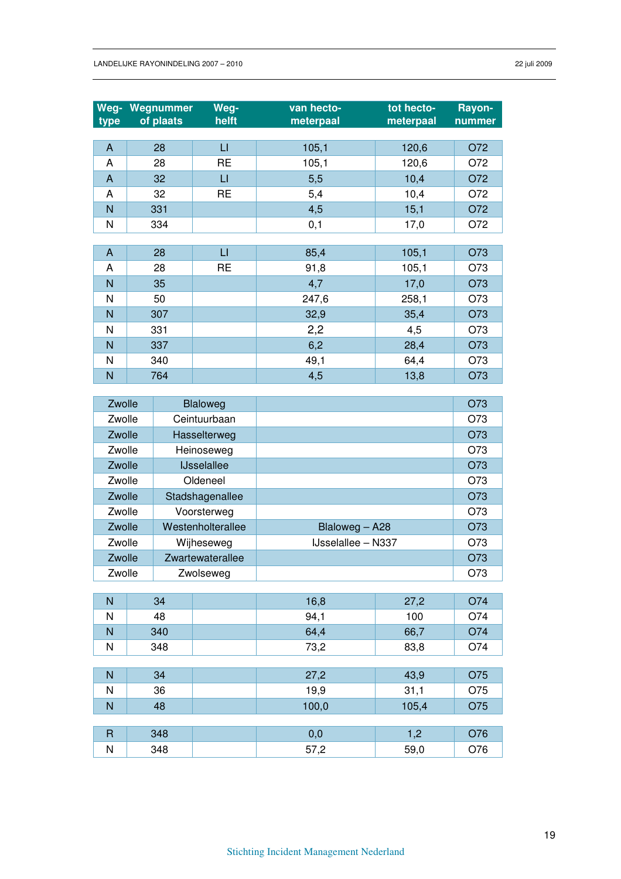| Weg-<br>type | Wegnummer<br>of plaats | Weg-<br>helft | van hecto-<br>meterpaal | tot hecto-<br>meterpaal | Rayon-<br>nummer |
|--------------|------------------------|---------------|-------------------------|-------------------------|------------------|
| A            | 28                     | LI            | 105,1                   | 120,6                   | O72              |
| A            | 28                     | <b>RE</b>     | 105,1                   | 120,6                   | O72              |
| A            | 32                     | LI            | 5,5                     | 10,4                    | O72              |
| A            | 32                     | <b>RE</b>     | 5,4                     | 10,4                    | O72              |
| N            | 331                    |               | 4,5                     | 15,1                    | O72              |
| Ν            | 334                    |               | 0,1                     | 17,0                    | O72              |

| A | 28  | LI        | 85,4  | 105,1 | O73 |
|---|-----|-----------|-------|-------|-----|
| A | 28  | <b>RE</b> | 91,8  | 105,1 | O73 |
| N | 35  |           | 4,7   | 17,0  | O73 |
| N | 50  |           | 247,6 | 258,1 | O73 |
| N | 307 |           | 32,9  | 35,4  | O73 |
| N | 331 |           | 2,2   | 4,5   | O73 |
| N | 337 |           | 6,2   | 28,4  | O73 |
| N | 340 |           | 49,1  | 64,4  | O73 |
| N | 764 |           | 4,5   | 13,8  | O73 |

| Zwolle | Blaloweg           |                           | O73 |
|--------|--------------------|---------------------------|-----|
| Zwolle | Ceintuurbaan       |                           | O73 |
| Zwolle | Hasselterweg       |                           | O73 |
| Zwolle | Heinoseweg         |                           | O73 |
| Zwolle | <b>IJsselallee</b> |                           | O73 |
| Zwolle | Oldeneel           |                           | O73 |
| Zwolle | Stadshagenallee    |                           | O73 |
| Zwolle | Voorsterweg        |                           | O73 |
| Zwolle | Westenholterallee  | Blaloweg - A28            | O73 |
| Zwolle | Wijheseweg         | <b>IJsselallee – N337</b> | O73 |
| Zwolle | Zwartewaterallee   |                           | O73 |
| Zwolle | Zwolseweg          |                           | O73 |

| N            | 34  | 16,8  | 27,2  | O74 |
|--------------|-----|-------|-------|-----|
| N            | 48  | 94,1  | 100   | O74 |
| N            | 340 | 64,4  | 66,7  | O74 |
| N            | 348 | 73,2  | 83,8  | O74 |
|              |     |       |       |     |
| N            | 34  | 27,2  | 43,9  | O75 |
| N            | 36  | 19,9  | 31,1  | O75 |
| N            | 48  | 100,0 | 105,4 | O75 |
|              |     |       |       |     |
| $\mathsf{R}$ | 348 | 0,0   | 1,2   | O76 |
| N            | 348 | 57,2  | 59,0  | O76 |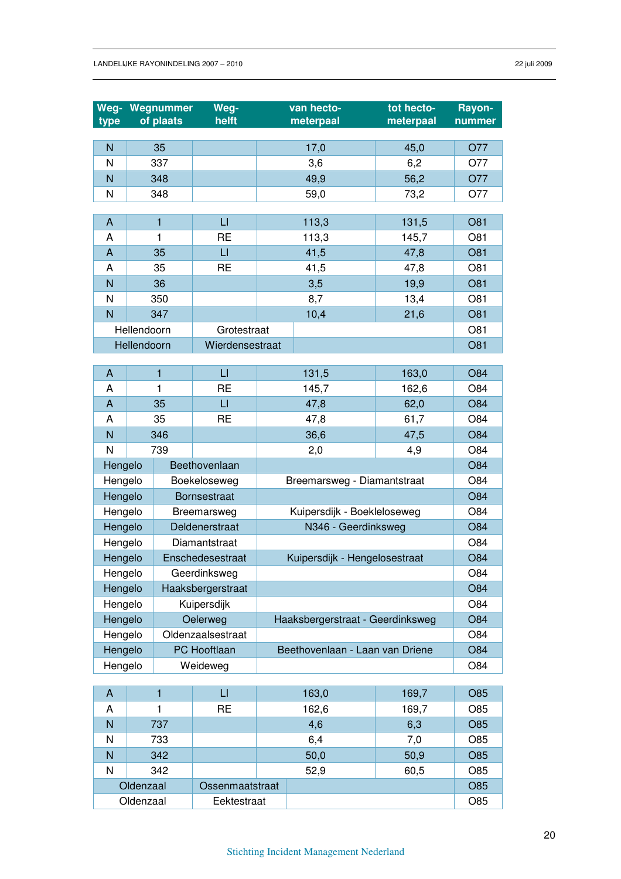| N<br>35<br>45,0<br>O77<br>17,0<br>N<br>337<br>6,2<br>O77<br>3,6<br>N<br>348<br>49,9<br>56,2<br>O77<br>N<br>348<br>59,0<br>73,2<br>O77<br>$\sqcup$<br>113,3<br>O81<br>A<br>$\mathbf{1}$<br>131,5<br><b>RE</b><br>1<br>113,3<br>O81<br>Α<br>145,7<br>$\sqcup$<br>$\mathsf{A}$<br>35<br>41,5<br>O81<br>47,8<br><b>RE</b><br>O81<br>35<br>41,5<br>Α<br>47,8<br>N<br>36<br>3,5<br>19,9<br>O81<br>N<br>O81<br>350<br>8,7<br>13,4<br>N<br>347<br>10,4<br>21,6<br>O81 | O84 |
|---------------------------------------------------------------------------------------------------------------------------------------------------------------------------------------------------------------------------------------------------------------------------------------------------------------------------------------------------------------------------------------------------------------------------------------------------------------|-----|
|                                                                                                                                                                                                                                                                                                                                                                                                                                                               |     |
|                                                                                                                                                                                                                                                                                                                                                                                                                                                               |     |
|                                                                                                                                                                                                                                                                                                                                                                                                                                                               |     |
|                                                                                                                                                                                                                                                                                                                                                                                                                                                               |     |
|                                                                                                                                                                                                                                                                                                                                                                                                                                                               |     |
|                                                                                                                                                                                                                                                                                                                                                                                                                                                               |     |
|                                                                                                                                                                                                                                                                                                                                                                                                                                                               |     |
|                                                                                                                                                                                                                                                                                                                                                                                                                                                               |     |
|                                                                                                                                                                                                                                                                                                                                                                                                                                                               |     |
|                                                                                                                                                                                                                                                                                                                                                                                                                                                               |     |
|                                                                                                                                                                                                                                                                                                                                                                                                                                                               |     |
|                                                                                                                                                                                                                                                                                                                                                                                                                                                               |     |
| Hellendoorn<br>O81<br>Grotestraat                                                                                                                                                                                                                                                                                                                                                                                                                             |     |
| Hellendoorn<br>Wierdensestraat<br>O81                                                                                                                                                                                                                                                                                                                                                                                                                         |     |
| $\mathbf{1}$<br>$\sqcup$<br>131,5<br>163,0<br>A                                                                                                                                                                                                                                                                                                                                                                                                               |     |
| <b>RE</b><br>1<br>O84<br>Α<br>145,7<br>162,6                                                                                                                                                                                                                                                                                                                                                                                                                  |     |
| $\mathsf{A}$<br>$\sqcup$<br>O84<br>35<br>47,8<br>62,0                                                                                                                                                                                                                                                                                                                                                                                                         |     |
| <b>RE</b><br>35<br>O84<br>Α<br>47,8<br>61,7                                                                                                                                                                                                                                                                                                                                                                                                                   |     |
| N<br>O84<br>346<br>36,6<br>47,5                                                                                                                                                                                                                                                                                                                                                                                                                               |     |
| N<br>O84<br>739<br>2,0<br>4,9                                                                                                                                                                                                                                                                                                                                                                                                                                 |     |
| Hengelo<br><b>O84</b><br>Beethovenlaan                                                                                                                                                                                                                                                                                                                                                                                                                        |     |
| O84<br>Hengelo<br>Boekeloseweg<br>Breemarsweg - Diamantstraat                                                                                                                                                                                                                                                                                                                                                                                                 |     |
| Hengelo<br><b>O84</b><br><b>Bornsestraat</b>                                                                                                                                                                                                                                                                                                                                                                                                                  |     |
| O84<br>Hengelo<br>Kuipersdijk - Boekleloseweg<br>Breemarsweg                                                                                                                                                                                                                                                                                                                                                                                                  |     |
| Hengelo<br>N346 - Geerdinksweg<br>O84<br>Deldenerstraat                                                                                                                                                                                                                                                                                                                                                                                                       |     |
| Hengelo<br>O84<br>Diamantstraat                                                                                                                                                                                                                                                                                                                                                                                                                               |     |
| Hengelo<br>Kuipersdijk - Hengelosestraat<br><b>O84</b><br>Enschedesestraat                                                                                                                                                                                                                                                                                                                                                                                    |     |
| Hengelo<br>O84<br>Geerdinksweg                                                                                                                                                                                                                                                                                                                                                                                                                                |     |
| Hengelo<br>Haaksbergerstraat<br><b>O84</b>                                                                                                                                                                                                                                                                                                                                                                                                                    |     |
| Hengelo<br>Kuipersdijk<br>O84                                                                                                                                                                                                                                                                                                                                                                                                                                 |     |
| Hengelo<br>O84<br>Oelerweg<br>Haaksbergerstraat - Geerdinksweg                                                                                                                                                                                                                                                                                                                                                                                                |     |
| Hengelo<br>Oldenzaalsestraat<br>O84                                                                                                                                                                                                                                                                                                                                                                                                                           |     |
| Hengelo<br><b>O84</b><br>PC Hooftlaan<br>Beethovenlaan - Laan van Driene                                                                                                                                                                                                                                                                                                                                                                                      |     |
| Hengelo<br>Weideweg<br>O84                                                                                                                                                                                                                                                                                                                                                                                                                                    |     |
|                                                                                                                                                                                                                                                                                                                                                                                                                                                               |     |
| $\mathsf{L}\mathsf{I}$<br>$\overline{1}$<br>163,0<br>O85<br>$\mathsf{A}$<br>169,7<br><b>RE</b><br>A<br>162,6<br>169,7<br>O85<br>1                                                                                                                                                                                                                                                                                                                             |     |
| N<br>737<br><b>O85</b><br>4,6<br>6,3                                                                                                                                                                                                                                                                                                                                                                                                                          |     |
| N<br>6,4<br>O85<br>733<br>7,0                                                                                                                                                                                                                                                                                                                                                                                                                                 |     |
| N<br>342<br><b>O85</b><br>50,0<br>50,9                                                                                                                                                                                                                                                                                                                                                                                                                        |     |
| N<br>342<br>52,9<br>60,5<br>O85                                                                                                                                                                                                                                                                                                                                                                                                                               |     |
| Oldenzaal<br>O85<br>Ossenmaatstraat                                                                                                                                                                                                                                                                                                                                                                                                                           |     |
| Oldenzaal<br>O85<br>Eektestraat                                                                                                                                                                                                                                                                                                                                                                                                                               |     |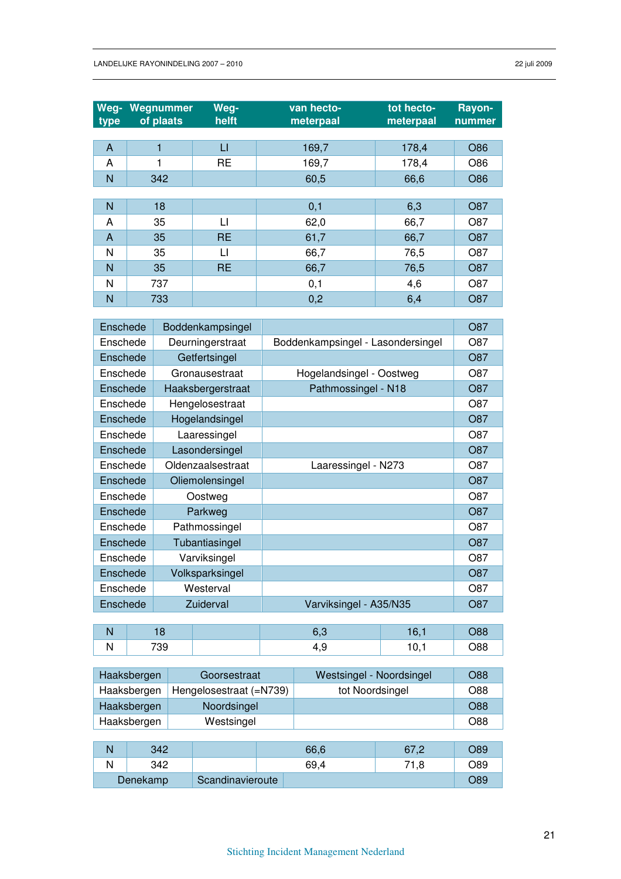| Weg-<br>type | Wegnummer<br>of plaats | Weg-<br>helft | van hecto-<br>meterpaal | tot hecto-<br>meterpaal | Rayon-<br>nummer |
|--------------|------------------------|---------------|-------------------------|-------------------------|------------------|
|              |                        |               |                         |                         |                  |
| A            | 1                      | П             | 169,7                   | 178,4                   | O86              |
| A            | 1                      | <b>RE</b>     | 169,7                   | 178,4                   | O86              |
| N            | 342                    |               | 60,5                    | 66,6                    | O86              |
|              |                        |               |                         |                         |                  |
| $\mathsf{N}$ | 18                     |               | 0,1                     | 6,3                     | O87              |
| A            | 35                     | LI            | 62,0                    | 66,7                    | O87              |
| A            | 35                     | <b>RE</b>     | 61,7                    | 66,7                    | <b>O87</b>       |
| N            | 35                     | LI            | 66,7                    | 76,5                    | O87              |
| $\mathsf{N}$ | 35                     | <b>RE</b>     | 66,7                    | 76,5                    | O87              |
| N            | 737                    |               | 0,1                     | 4,6                     | O87              |
| N            | 733                    |               | 0,2                     | 6,4                     | O87              |

| Enschede | Boddenkampsingel  |                                   | O87 |
|----------|-------------------|-----------------------------------|-----|
| Enschede | Deurningerstraat  | Boddenkampsingel - Lasondersingel | O87 |
| Enschede | Getfertsingel     |                                   | O87 |
| Enschede | Gronausestraat    | Hogelandsingel - Oostweg          | O87 |
| Enschede | Haaksbergerstraat | Pathmossingel - N18               | O87 |
| Enschede | Hengelosestraat   |                                   | O87 |
| Enschede | Hogelandsingel    |                                   | O87 |
| Enschede | Laaressingel      |                                   | O87 |
| Enschede | Lasondersingel    |                                   | O87 |
| Enschede | Oldenzaalsestraat | Laaressingel - N273               | O87 |
| Enschede | Oliemolensingel   |                                   | O87 |
| Enschede | Oostweg           |                                   | O87 |
| Enschede | Parkweg           |                                   | O87 |
| Enschede | Pathmossingel     |                                   | O87 |
| Enschede | Tubantiasingel    |                                   | O87 |
| Enschede | Varviksingel      |                                   | O87 |
| Enschede | Volksparksingel   |                                   | O87 |
| Enschede | Westerval         |                                   | O87 |
| Enschede | Zuiderval         | Varviksingel - A35/N35            | O87 |

| . . | 700<br>ت ر |  | nu<br>ĸ |
|-----|------------|--|---------|

| Haaksbergen | Goorsestraat            | Westsingel - Noordsingel | O88 |
|-------------|-------------------------|--------------------------|-----|
| Haaksbergen | Hengelosestraat (=N739) | tot Noordsingel          | O88 |
| Haaksbergen | Noordsingel             |                          | O88 |
| Haaksbergen | Westsingel              |                          | O88 |
|             |                         |                          |     |

| 342      |                  | 66,6 | 27 O<br>07<br>-- | O89   |
|----------|------------------|------|------------------|-------|
| 342      |                  | 69,4 | .8               | O89   |
| Denekamp | Scandinavieroute |      |                  | ົ່ວ89 |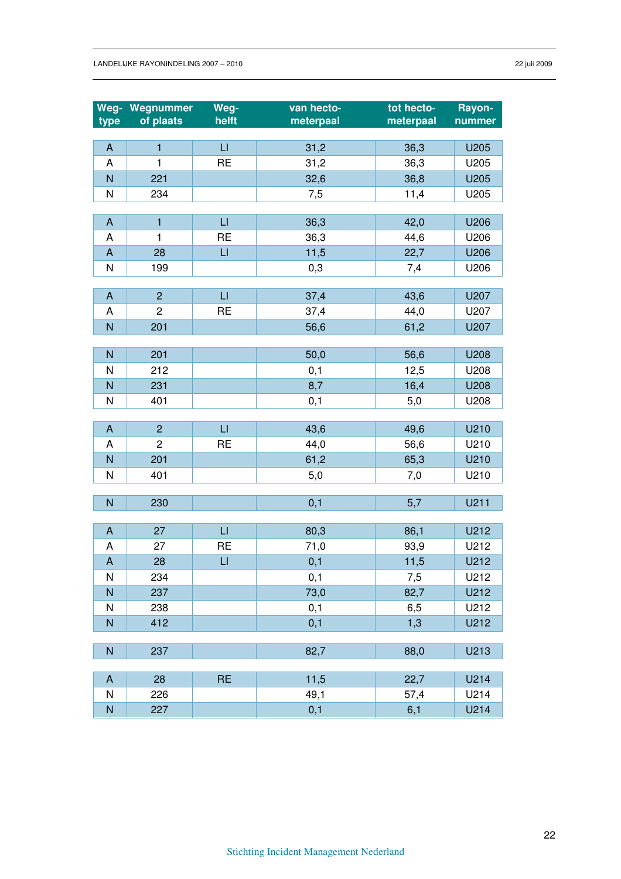| Weg-                      | Wegnummer      | Weg-           | van hecto- | tot hecto- | Rayon- |
|---------------------------|----------------|----------------|------------|------------|--------|
| type                      | of plaats      | helft          | meterpaal  | meterpaal  | nummer |
|                           |                | $\sqcup$       |            |            |        |
| $\boldsymbol{\mathsf{A}}$ | $\mathbf{1}$   |                | 31,2       | 36,3       | U205   |
| A                         | 1              | <b>RE</b>      | 31,2       | 36,3       | U205   |
| N                         | 221            |                | 32,6       | 36,8       | U205   |
| N                         | 234            |                | 7,5        | 11,4       | U205   |
| A                         | $\mathbf{1}$   | $\mathsf{L}$   | 36,3       | 42,0       | U206   |
| A                         | 1              | <b>RE</b>      | 36,3       | 44,6       | U206   |
| $\boldsymbol{\mathsf{A}}$ | 28             | $\overline{L}$ | 11,5       | 22,7       | U206   |
| N                         | 199            |                | 0,3        | 7,4        | U206   |
|                           |                |                |            |            |        |
| $\boldsymbol{\mathsf{A}}$ | $\overline{2}$ | $\sqcup$       | 37,4       | 43,6       | U207   |
| A                         | $\overline{c}$ | <b>RE</b>      | 37,4       | 44,0       | U207   |
| $\overline{N}$            | 201            |                | 56,6       | 61,2       | U207   |
|                           |                |                |            |            |        |
| N                         | 201            |                | 50,0       | 56,6       | U208   |
| N                         | 212            |                | 0,1        | 12,5       | U208   |
| N                         | 231            |                | 8,7        | 16,4       | U208   |
| N                         | 401            |                | 0,1        | 5,0        | U208   |
|                           |                |                |            |            |        |
| $\boldsymbol{\mathsf{A}}$ | $\overline{2}$ | $\sqcup$       | 43,6       | 49,6       | U210   |
| Α                         | $\overline{c}$ | <b>RE</b>      | 44,0       | 56,6       | U210   |
| N                         | 201            |                | 61,2       | 65,3       | U210   |
| N                         | 401            |                | 5,0        | 7,0        | U210   |
| $\overline{N}$            | 230            |                | 0,1        | 5,7        | U211   |
|                           |                |                |            |            |        |
| $\boldsymbol{\mathsf{A}}$ | 27             | $\sqcup$       | 80,3       | 86,1       | U212   |
| A                         | 27             | <b>RE</b>      | 71,0       | 93,9       | U212   |
| A                         | 28             | $\sqcup$       | 0,1        | 11,5       | U212   |
| N                         | 234            |                | 0,1        | 7,5        | U212   |
| N                         | 237            |                | 73,0       | 82,7       | U212   |
| ${\sf N}$                 | 238            |                | 0,1        | 6,5        | U212   |
| $\overline{N}$            | 412            |                | 0,1        | 1,3        | U212   |
|                           |                |                |            |            |        |
| ${\sf N}$                 | 237            |                | 82,7       | 88,0       | U213   |
|                           |                |                |            |            |        |
| A                         | 28             | <b>RE</b>      | 11,5       | 22,7       | U214   |
| ${\sf N}$                 | 226            |                | 49,1       | 57,4       | U214   |
| N                         | 227            |                | 0,1        | 6,1        | U214   |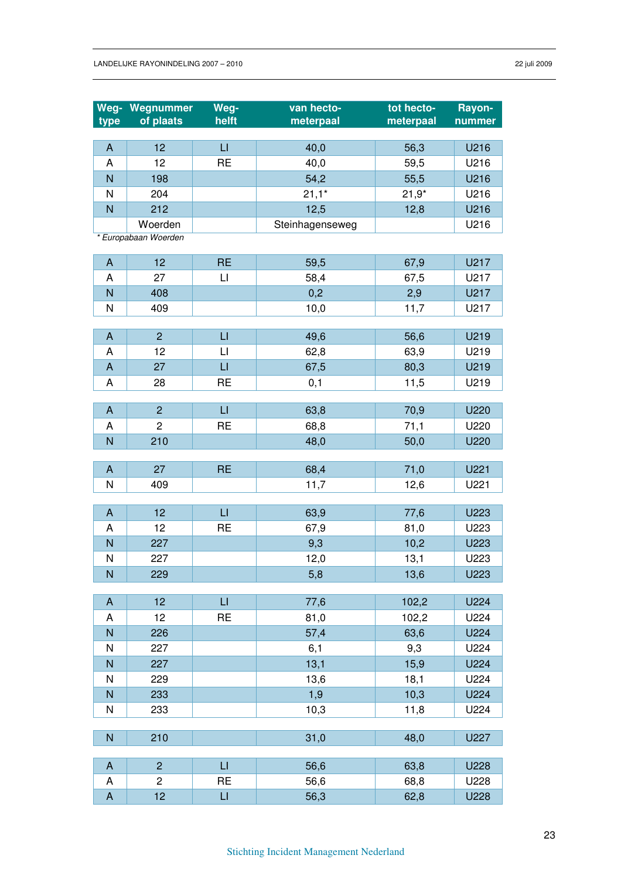|                           | Weg- Wegnummer       | Weg-                   | van hecto-      | tot hecto- | Rayon- |
|---------------------------|----------------------|------------------------|-----------------|------------|--------|
| type                      | of plaats            | helft                  | meterpaal       | meterpaal  | nummer |
|                           |                      |                        |                 |            |        |
| $\boldsymbol{\mathsf{A}}$ | 12                   | $\mathsf{L}$           | 40,0            | 56,3       | U216   |
| A                         | 12                   | <b>RE</b>              | 40,0            | 59,5       | U216   |
| N                         | 198                  |                        | 54,2            | 55,5       | U216   |
| N                         | 204                  |                        | $21,1*$         | $21,9*$    | U216   |
| $\overline{N}$            | 212                  |                        | 12,5            | 12,8       | U216   |
|                           | Woerden              |                        | Steinhagenseweg |            | U216   |
|                           | * Europabaan Woerden |                        |                 |            |        |
| A                         | 12                   | <b>RE</b>              | 59,5            | 67,9       | U217   |
| A                         | 27                   | $\mathsf{L}$           | 58,4            | 67,5       | U217   |
| N                         | 408                  |                        | 0,2             | 2,9        | U217   |
| N                         | 409                  |                        | 10,0            | 11,7       | U217   |
|                           |                      |                        |                 |            |        |
| A                         | $\overline{2}$       | $\sqcup$               | 49,6            | 56,6       | U219   |
| A                         | 12                   | $\sqcup$               | 62,8            | 63,9       | U219   |
| $\boldsymbol{\mathsf{A}}$ | 27                   | $\sqcup$               | 67,5            | 80,3       | U219   |
| A                         | 28                   | <b>RE</b>              | 0,1             | 11,5       | U219   |
|                           |                      |                        |                 |            |        |
| A                         | $\overline{2}$       | $\mathsf{L}$           | 63,8            | 70,9       | U220   |
| A                         | $\overline{2}$       | <b>RE</b>              | 68,8            | 71,1       | U220   |
| N                         | 210                  |                        | 48,0            | 50,0       | U220   |
| A                         | 27                   | <b>RE</b>              | 68,4            | 71,0       | U221   |
| N                         | 409                  |                        | 11,7            | 12,6       | U221   |
|                           |                      |                        |                 |            |        |
| A                         | 12                   | $\mathsf{L}$           | 63,9            | 77,6       | U223   |
| A                         | 12                   | <b>RE</b>              | 67,9            | 81,0       | U223   |
| N                         | 227                  |                        | 9,3             | 10,2       | U223   |
| N                         | 227                  |                        | 12,0            | 13,1       | U223   |
| N                         | 229                  |                        | 5,8             | 13,6       | U223   |
|                           |                      |                        |                 |            |        |
| A                         | 12                   | $\mathsf{L}\mathsf{I}$ | 77,6            | 102,2      | U224   |
| Α                         | 12                   | <b>RE</b>              | 81,0            | 102,2      | U224   |
| $\mathsf{N}$              | 226                  |                        | 57,4            | 63,6       | U224   |
| N                         | 227                  |                        | 6,1             | 9,3        | U224   |
| ${\sf N}$                 | 227                  |                        | 13,1            | 15,9       | U224   |
| N                         | 229                  |                        | 13,6            | 18,1       | U224   |
| ${\sf N}$                 | 233                  |                        | 1,9             | 10,3       | U224   |
| N                         | 233                  |                        | 10,3            | 11,8       | U224   |
|                           |                      |                        |                 |            |        |
| $\mathsf{N}$              | 210                  |                        | 31,0            | 48,0       | U227   |
| A                         | $\overline{2}$       | $\mathsf{L}\mathsf{L}$ | 56,6            | 63,8       | U228   |
| Α                         | $\overline{c}$       | <b>RE</b>              | 56,6            | 68,8       | U228   |
| $\boldsymbol{\mathsf{A}}$ | 12                   | $\sqcup$               | 56,3            | 62,8       | U228   |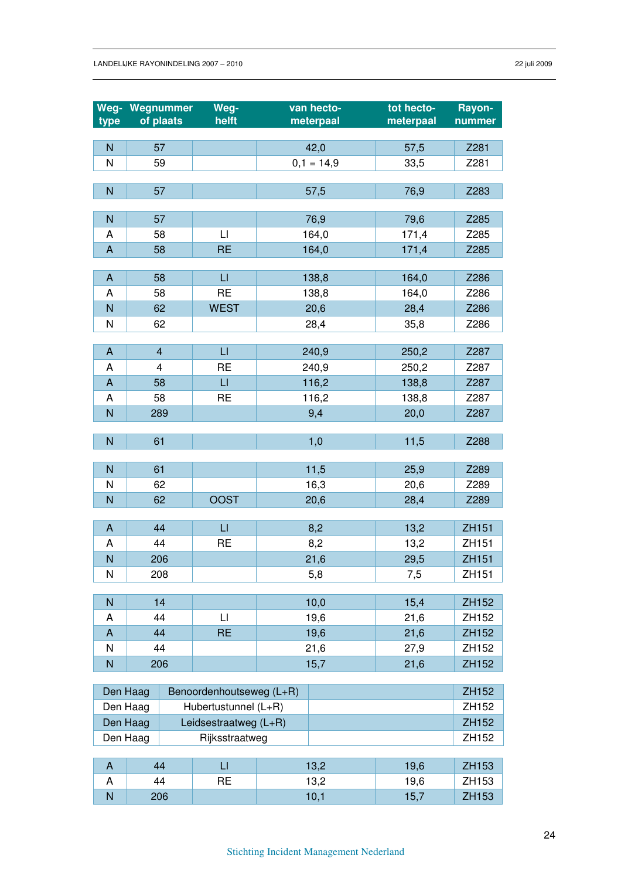|                           | Weg- Wegnummer          | Weg-                     | van hecto-   | tot hecto- | Rayon-       |
|---------------------------|-------------------------|--------------------------|--------------|------------|--------------|
| type                      | of plaats               | helft                    | meterpaal    | meterpaal  | nummer       |
|                           |                         |                          |              |            |              |
| $\overline{N}$            | 57                      |                          | 42,0         | 57,5       | Z281         |
| N                         | 59                      |                          | $0,1 = 14,9$ | 33,5       | Z281         |
| ${\sf N}$                 | 57                      |                          | 57,5         | 76,9       | Z283         |
|                           |                         |                          |              |            |              |
| $\mathsf{N}$              | 57                      |                          | 76,9         | 79,6       | Z285         |
| A                         | 58                      | $\sqcup$                 | 164,0        | 171,4      | Z285         |
| $\boldsymbol{\mathsf{A}}$ | 58                      | <b>RE</b>                | 164,0        | 171,4      | Z285         |
|                           |                         |                          |              |            |              |
| $\mathsf{A}$              | 58                      | $\Box$                   | 138,8        | 164,0      | Z286         |
| A                         | 58                      | <b>RE</b>                | 138,8        | 164,0      | Z286         |
| $\overline{N}$            | 62                      | <b>WEST</b>              | 20,6         | 28,4       | Z286         |
| ${\sf N}$                 | 62                      |                          | 28,4         | 35,8       | Z286         |
| $\mathsf{A}$              | $\overline{\mathbf{4}}$ | $\mathsf{L}$             | 240,9        | 250,2      | Z287         |
| A                         | $\overline{\mathbf{4}}$ | <b>RE</b>                | 240,9        | 250,2      | Z287         |
| $\mathsf{A}$              | 58                      | $\sqcup$                 | 116,2        | 138,8      | Z287         |
| A                         | 58                      | <b>RE</b>                | 116,2        | 138,8      | Z287         |
| $\mathsf{N}$              | 289                     |                          | 9,4          | 20,0       | Z287         |
|                           |                         |                          |              |            |              |
| ${\sf N}$                 | 61                      |                          | 1,0          | 11,5       | Z288         |
|                           |                         |                          |              |            |              |
| $\mathsf{N}$              | 61                      |                          | 11,5         | 25,9       | Z289         |
| N                         | 62                      |                          | 16,3         | 20,6       | Z289         |
| $\overline{N}$            | <b>OOST</b><br>62       |                          | 20,6         | 28,4       | Z289         |
| $\overline{A}$            | 44                      | $\mathsf{L}$             | 8,2          | 13,2       | <b>ZH151</b> |
| A                         | 44                      | <b>RE</b>                | 8,2          | 13,2       | ZH151        |
| N                         | 206                     |                          | 21,6         | 29,5       | ZH151        |
| N                         | 208                     |                          | 5,8          | 7,5        | ZH151        |
|                           |                         |                          |              |            |              |
| $\mathsf{N}$              | 14                      |                          | 10,0         | 15,4       | ZH152        |
| A                         | 44                      | $\mathsf{L}$             | 19,6         | 21,6       | ZH152        |
| $\overline{A}$            | 44                      | <b>RE</b>                | 19,6         | 21,6       | ZH152        |
| N                         | 44                      |                          | 21,6         | 27,9       | ZH152        |
| ${\sf N}$                 | 206                     |                          | 15,7         | 21,6       | ZH152        |
|                           |                         |                          |              |            |              |
|                           | Den Haag                | Benoordenhoutseweg (L+R) |              |            | ZH152        |
|                           | Den Haag                | Hubertustunnel (L+R)     |              |            | ZH152        |
|                           | Den Haag                | Leidsestraatweg (L+R)    |              |            | ZH152        |
|                           | Den Haag                | Rijksstraatweg           |              |            | ZH152        |
| $\mathsf{A}$              | 44                      | $\mathsf{L}\mathsf{L}$   | 13,2         | 19,6       | ZH153        |
| A                         | 44                      | <b>RE</b>                | 13,2         | 19,6       | ZH153        |
| $\overline{N}$            | 206                     |                          | 10,1         | 15,7       | ZH153        |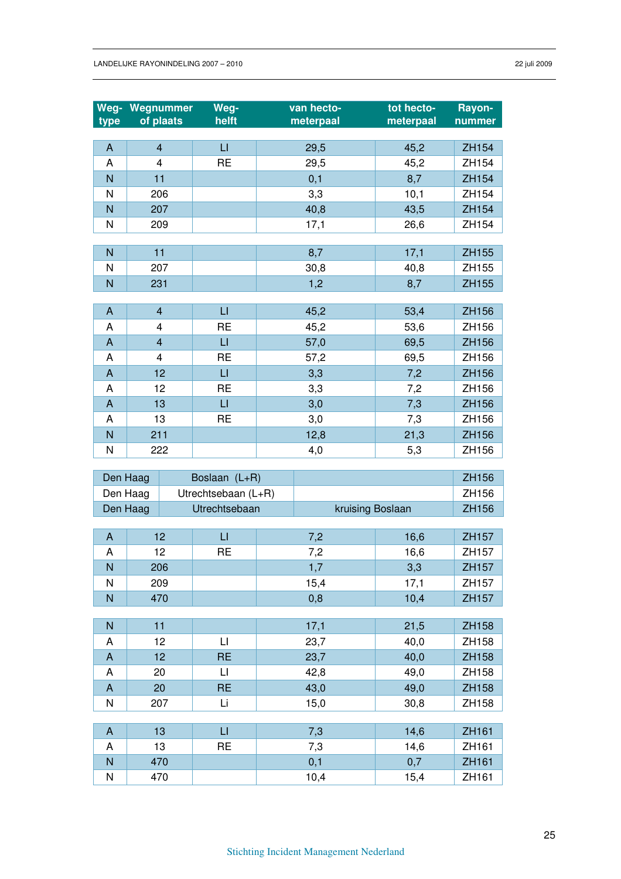| type                      | Weg- Wegnummer<br>of plaats | Weg-<br>helft          | van hecto-<br>meterpaal |                  | tot hecto-<br>meterpaal | Rayon-<br>nummer  |
|---------------------------|-----------------------------|------------------------|-------------------------|------------------|-------------------------|-------------------|
|                           |                             |                        |                         |                  |                         |                   |
| A                         | $\overline{\mathbf{4}}$     | $\sqcup$               | 29,5                    |                  | 45,2                    | ZH154             |
| A                         | 4                           | <b>RE</b>              | 29,5                    |                  | 45,2                    | ZH154             |
| N                         | 11                          |                        | 0,1                     |                  | 8,7                     | ZH154             |
| N                         | 206                         |                        | 3,3                     |                  | 10,1                    | ZH154             |
| N                         | 207                         |                        | 40,8                    |                  | 43,5                    | ZH154             |
| N                         | 209                         |                        | 17,1                    |                  | 26,6                    | ZH154             |
|                           |                             |                        |                         |                  |                         |                   |
| N                         | 11                          |                        | 8,7                     |                  | 17,1                    | ZH155             |
| N                         | 207                         |                        | 30,8                    |                  | 40,8                    | ZH155             |
| N                         | 231                         |                        | 1,2                     |                  | 8,7                     | ZH155             |
|                           | $\overline{\mathbf{4}}$     | $\sqcup$               |                         |                  |                         | ZH156             |
| A<br>Α                    | 4                           | <b>RE</b>              | 45,2                    |                  | 53,4                    | ZH156             |
| A                         | $\overline{\mathbf{4}}$     | $\sqcup$               | 45,2<br>57,0            |                  | 53,6<br>69,5            |                   |
| Α                         | 4                           | <b>RE</b>              | 57,2                    |                  | 69,5                    | ZH156<br>ZH156    |
| A                         | 12                          | $\sqcup$               | 3,3                     |                  | 7,2                     | ZH156             |
| A                         | 12                          | <b>RE</b>              | 3,3                     |                  | 7,2                     | ZH156             |
| A                         | 13                          | $\sqcup$               | 3,0                     |                  | 7,3                     | ZH156             |
| A                         | 13                          | <b>RE</b>              | 3,0                     |                  | 7,3                     | ZH156             |
| N                         | 211                         |                        | 12,8                    |                  | 21,3                    | ZH156             |
| N                         | 222                         |                        | 4,0                     |                  | 5,3                     | ZH156             |
|                           |                             |                        |                         |                  |                         |                   |
| Den Haag                  |                             | Boslaan (L+R)          |                         |                  |                         | ZH156             |
| Den Haag                  |                             | Utrechtsebaan (L+R)    |                         |                  |                         | ZH156             |
| Den Haag                  |                             | Utrechtsebaan          |                         | kruising Boslaan |                         | ZH156             |
|                           |                             |                        |                         |                  |                         |                   |
| A                         | 12                          | $\sqcup$               | 7,2                     |                  | 16,6                    | ZH157             |
| A                         | 12                          | <b>RE</b>              | 7,2                     |                  | 16,6                    | ZH157             |
| Ν                         | 206                         |                        | 1,7                     |                  | 3,3                     | ZH <sub>157</sub> |
| N                         | 209                         |                        | 15,4                    |                  | 17,1                    | ZH157             |
| N                         | 470                         |                        | 0,8                     |                  | 10,4                    | ZH157             |
|                           |                             |                        |                         |                  |                         |                   |
| $\mathsf{N}$              | 11                          |                        | 17,1                    |                  | 21,5                    | ZH158             |
| Α                         |                             | $\sqcup$               | 23,7                    |                  | 40,0                    | ZH158             |
| $\mathsf{A}$              | 12                          |                        |                         |                  |                         |                   |
|                           | 12                          | <b>RE</b>              | 23,7                    |                  | 40,0                    | ZH158             |
| A                         | 20                          | $\mathsf{L}\mathsf{I}$ | 42,8                    |                  | 49,0                    | ZH158             |
| $\boldsymbol{\mathsf{A}}$ | 20                          | <b>RE</b>              | 43,0                    |                  | 49,0                    | ZH158             |
| N                         | 207                         | Li                     | 15,0                    |                  | 30,8                    | ZH158             |
|                           |                             |                        |                         |                  |                         |                   |
| A                         | 13                          | $\sqcup$               | 7,3                     |                  | 14,6                    | ZH161             |
| Α<br>N                    | 13<br>470                   | <b>RE</b>              | 7,3<br>0,1              |                  | 14,6<br>0,7             | ZH161<br>ZH161    |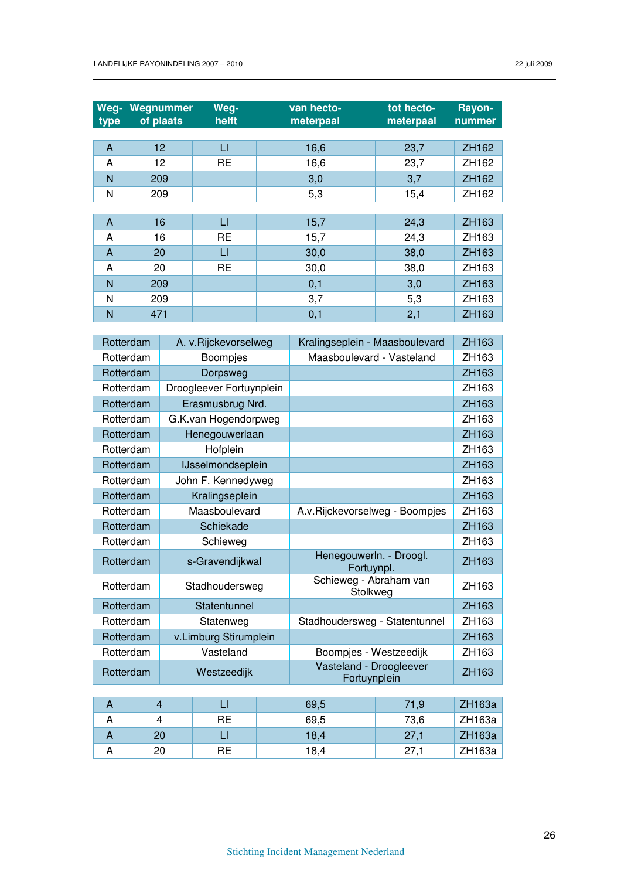| Weg-<br>type | Wegnummer<br>of plaats | Weg-<br>helft | van hecto-<br>meterpaal | tot hecto-<br>meterpaal | Rayon-<br>nummer |
|--------------|------------------------|---------------|-------------------------|-------------------------|------------------|
|              |                        |               |                         |                         |                  |
| A            | 12                     | $\sqcup$      | 16,6                    | 23,7                    | ZH162            |
| A            | 12                     | <b>RE</b>     | 16,6                    | 23,7                    | ZH162            |
| N            | 209                    |               | 3,0                     | 3,7                     | ZH162            |
| N            | 209                    |               | 5,3                     | 15,4                    | ZH162            |
|              |                        |               |                         |                         |                  |
| A            | 16                     | П             | 15,7                    | 24,3                    | ZH163            |
| A            | 16                     | <b>RE</b>     | 15,7                    | 24,3                    | ZH163            |
| A            | 20                     | $\sqcup$      | 30,0                    | 38,0                    | ZH163            |
| A            | 20                     | <b>RE</b>     | 30,0                    | 38,0                    | ZH163            |
| N            | 209                    |               | 0,1                     | 3,0                     | ZH163            |
| N            | 209                    |               | 3,7                     | 5,3                     | ZH163            |
| N            | 471                    |               | 0,1                     | 2,1                     | ZH163            |

| Rotterdam    |           |                 | A. v.Rijckevorselweg     |                                       | Kralingseplein - Maasboulevard          |       | ZH163  |
|--------------|-----------|-----------------|--------------------------|---------------------------------------|-----------------------------------------|-------|--------|
|              | Rotterdam | <b>Boompjes</b> |                          | Maasboulevard - Vasteland             |                                         | ZH163 |        |
| Rotterdam    |           |                 | Dorpsweg                 |                                       |                                         |       | ZH163  |
|              | Rotterdam |                 | Droogleever Fortuynplein |                                       |                                         |       | ZH163  |
| Rotterdam    |           |                 | Erasmusbrug Nrd.         |                                       |                                         |       | ZH163  |
| Rotterdam    |           |                 | G.K.van Hogendorpweg     |                                       |                                         |       | ZH163  |
|              | Rotterdam |                 | Henegouwerlaan           |                                       |                                         |       | ZH163  |
|              | Rotterdam |                 | Hofplein                 |                                       |                                         |       | ZH163  |
|              | Rotterdam |                 | IJsselmondseplein        |                                       |                                         |       | ZH163  |
|              | Rotterdam |                 | John F. Kennedyweg       |                                       |                                         |       | ZH163  |
| Rotterdam    |           |                 | Kralingseplein           |                                       |                                         |       | ZH163  |
|              | Rotterdam |                 | Maasboulevard            |                                       | A.v.Rijckevorselweg - Boompjes          |       | ZH163  |
| Rotterdam    |           |                 | Schiekade                |                                       |                                         |       | ZH163  |
|              | Rotterdam | Schieweg        |                          |                                       |                                         | ZH163 |        |
| Rotterdam    |           | s-Gravendijkwal |                          | Henegouwerln. - Droogl.<br>Fortuynpl. |                                         | ZH163 |        |
|              | Rotterdam |                 | Stadhoudersweg           |                                       | Schieweg - Abraham van<br>Stolkweg      |       | ZH163  |
|              | Rotterdam |                 | Statentunnel             |                                       |                                         |       | ZH163  |
| Rotterdam    |           |                 | Statenweg                |                                       | Stadhoudersweg - Statentunnel           |       | ZH163  |
|              | Rotterdam |                 | v.Limburg Stirumplein    |                                       |                                         |       | ZH163  |
| Rotterdam    |           |                 | Vasteland                |                                       | Boompjes - Westzeedijk                  |       | ZH163  |
| Rotterdam    |           |                 | Westzeedijk              |                                       | Vasteland - Droogleever<br>Fortuynplein |       | ZH163  |
|              |           |                 |                          |                                       |                                         |       |        |
| $\mathsf{A}$ |           | $\overline{4}$  | $\mathsf{L}$             |                                       | 69,5                                    | 71,9  | ZH163a |
| A            |           | 4               | <b>RE</b>                |                                       | 69,5                                    | 73,6  | ZH163a |
| A            |           | 20              | $\mathsf{L}$             |                                       | 18,4                                    | 27,1  | ZH163a |
| A            |           | 20              | <b>RE</b>                |                                       | 18,4                                    | 27,1  | ZH163a |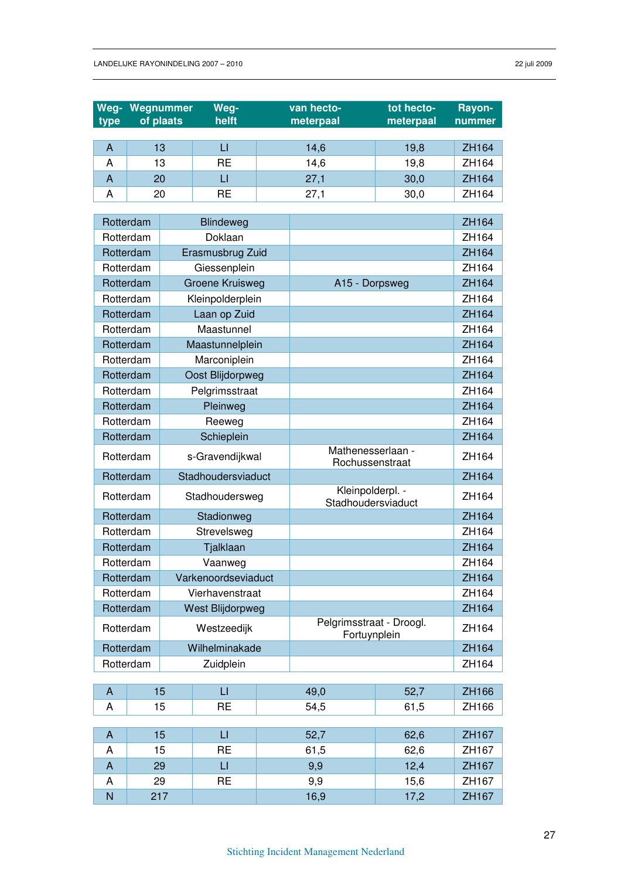| of plaats<br>meterpaal<br>meterpaal<br>type<br>nummer<br>$\mathsf{L}$<br>$\overline{A}$<br>13<br>14,6<br>19,8<br>ZH164<br><b>RE</b><br>13<br>14,6<br>19,8<br>ZH164<br>A<br>$\overline{A}$<br>20<br>$\sqcup$<br>27,1<br>30,0<br>ZH164<br><b>RE</b><br>A<br>20<br>27,1<br>30,0<br>ZH164<br>ZH164<br>Rotterdam<br>Blindeweg<br>Rotterdam<br>Doklaan<br>ZH164<br>ZH164<br>Rotterdam<br>Erasmusbrug Zuid<br>Rotterdam<br>Giessenplein<br>ZH164<br><b>Groene Kruisweg</b><br>ZH164<br>Rotterdam<br>A15 - Dorpsweg<br>Kleinpolderplein<br>Rotterdam<br>ZH164<br>Laan op Zuid<br>ZH164<br>Rotterdam<br>Maastunnel<br>ZH164<br>Rotterdam<br>Rotterdam<br>Maastunnelplein<br>ZH164<br>Rotterdam<br>Marconiplein<br>ZH164<br>Oost Blijdorpweg<br>ZH164<br>Rotterdam<br>Pelgrimsstraat<br>ZH164<br>Rotterdam<br>Rotterdam<br>Pleinweg<br>ZH164<br>ZH164<br>Rotterdam<br>Reeweg |
|--------------------------------------------------------------------------------------------------------------------------------------------------------------------------------------------------------------------------------------------------------------------------------------------------------------------------------------------------------------------------------------------------------------------------------------------------------------------------------------------------------------------------------------------------------------------------------------------------------------------------------------------------------------------------------------------------------------------------------------------------------------------------------------------------------------------------------------------------------------------|
|                                                                                                                                                                                                                                                                                                                                                                                                                                                                                                                                                                                                                                                                                                                                                                                                                                                                    |
|                                                                                                                                                                                                                                                                                                                                                                                                                                                                                                                                                                                                                                                                                                                                                                                                                                                                    |
|                                                                                                                                                                                                                                                                                                                                                                                                                                                                                                                                                                                                                                                                                                                                                                                                                                                                    |
|                                                                                                                                                                                                                                                                                                                                                                                                                                                                                                                                                                                                                                                                                                                                                                                                                                                                    |
|                                                                                                                                                                                                                                                                                                                                                                                                                                                                                                                                                                                                                                                                                                                                                                                                                                                                    |
|                                                                                                                                                                                                                                                                                                                                                                                                                                                                                                                                                                                                                                                                                                                                                                                                                                                                    |
|                                                                                                                                                                                                                                                                                                                                                                                                                                                                                                                                                                                                                                                                                                                                                                                                                                                                    |
|                                                                                                                                                                                                                                                                                                                                                                                                                                                                                                                                                                                                                                                                                                                                                                                                                                                                    |
|                                                                                                                                                                                                                                                                                                                                                                                                                                                                                                                                                                                                                                                                                                                                                                                                                                                                    |
|                                                                                                                                                                                                                                                                                                                                                                                                                                                                                                                                                                                                                                                                                                                                                                                                                                                                    |
|                                                                                                                                                                                                                                                                                                                                                                                                                                                                                                                                                                                                                                                                                                                                                                                                                                                                    |
|                                                                                                                                                                                                                                                                                                                                                                                                                                                                                                                                                                                                                                                                                                                                                                                                                                                                    |
|                                                                                                                                                                                                                                                                                                                                                                                                                                                                                                                                                                                                                                                                                                                                                                                                                                                                    |
|                                                                                                                                                                                                                                                                                                                                                                                                                                                                                                                                                                                                                                                                                                                                                                                                                                                                    |
|                                                                                                                                                                                                                                                                                                                                                                                                                                                                                                                                                                                                                                                                                                                                                                                                                                                                    |
|                                                                                                                                                                                                                                                                                                                                                                                                                                                                                                                                                                                                                                                                                                                                                                                                                                                                    |
|                                                                                                                                                                                                                                                                                                                                                                                                                                                                                                                                                                                                                                                                                                                                                                                                                                                                    |
|                                                                                                                                                                                                                                                                                                                                                                                                                                                                                                                                                                                                                                                                                                                                                                                                                                                                    |
|                                                                                                                                                                                                                                                                                                                                                                                                                                                                                                                                                                                                                                                                                                                                                                                                                                                                    |
| Rotterdam<br>Schieplein<br>ZH164                                                                                                                                                                                                                                                                                                                                                                                                                                                                                                                                                                                                                                                                                                                                                                                                                                   |
| Mathenesserlaan -<br>Rotterdam<br>s-Gravendijkwal<br>ZH164<br>Rochussenstraat                                                                                                                                                                                                                                                                                                                                                                                                                                                                                                                                                                                                                                                                                                                                                                                      |
| Stadhoudersviaduct<br>ZH164<br>Rotterdam                                                                                                                                                                                                                                                                                                                                                                                                                                                                                                                                                                                                                                                                                                                                                                                                                           |
| Kleinpolderpl. -<br>Rotterdam<br>ZH164<br>Stadhoudersweg<br>Stadhoudersviaduct                                                                                                                                                                                                                                                                                                                                                                                                                                                                                                                                                                                                                                                                                                                                                                                     |
| ZH164<br>Rotterdam<br>Stadionweg                                                                                                                                                                                                                                                                                                                                                                                                                                                                                                                                                                                                                                                                                                                                                                                                                                   |
| Rotterdam<br>Strevelsweg<br>ZH164                                                                                                                                                                                                                                                                                                                                                                                                                                                                                                                                                                                                                                                                                                                                                                                                                                  |
| Rotterdam<br>Tjalklaan<br>ZH164                                                                                                                                                                                                                                                                                                                                                                                                                                                                                                                                                                                                                                                                                                                                                                                                                                    |
| ZH164<br>Rotterdam<br>Vaanweg                                                                                                                                                                                                                                                                                                                                                                                                                                                                                                                                                                                                                                                                                                                                                                                                                                      |
| Varkenoordseviaduct<br>ZH164<br>Rotterdam                                                                                                                                                                                                                                                                                                                                                                                                                                                                                                                                                                                                                                                                                                                                                                                                                          |
| Rotterdam<br>Vierhavenstraat<br>ZH164                                                                                                                                                                                                                                                                                                                                                                                                                                                                                                                                                                                                                                                                                                                                                                                                                              |
| West Blijdorpweg<br>ZH164<br>Rotterdam                                                                                                                                                                                                                                                                                                                                                                                                                                                                                                                                                                                                                                                                                                                                                                                                                             |
| Pelgrimsstraat - Droogl.<br>Rotterdam<br>Westzeedijk<br>ZH164<br>Fortuynplein                                                                                                                                                                                                                                                                                                                                                                                                                                                                                                                                                                                                                                                                                                                                                                                      |
| Wilhelminakade<br>Rotterdam<br>ZH164                                                                                                                                                                                                                                                                                                                                                                                                                                                                                                                                                                                                                                                                                                                                                                                                                               |
| Rotterdam<br>Zuidplein<br>ZH164                                                                                                                                                                                                                                                                                                                                                                                                                                                                                                                                                                                                                                                                                                                                                                                                                                    |
| 15<br>$\sqcup$<br>$\mathsf{A}$<br>49,0<br>52,7<br>ZH166                                                                                                                                                                                                                                                                                                                                                                                                                                                                                                                                                                                                                                                                                                                                                                                                            |
| <b>RE</b><br>A<br>15<br>54,5<br>61,5<br>ZH166                                                                                                                                                                                                                                                                                                                                                                                                                                                                                                                                                                                                                                                                                                                                                                                                                      |
|                                                                                                                                                                                                                                                                                                                                                                                                                                                                                                                                                                                                                                                                                                                                                                                                                                                                    |
| $\mathsf{L}$<br>$\mathsf{A}$<br>15<br>52,7<br>ZH167<br>62,6                                                                                                                                                                                                                                                                                                                                                                                                                                                                                                                                                                                                                                                                                                                                                                                                        |
| <b>RE</b><br>ZH167<br>A<br>15<br>61,5<br>62,6                                                                                                                                                                                                                                                                                                                                                                                                                                                                                                                                                                                                                                                                                                                                                                                                                      |
| $\sqcup$<br>12,4<br>$\mathsf{A}$<br>29<br>9,9<br>ZH167                                                                                                                                                                                                                                                                                                                                                                                                                                                                                                                                                                                                                                                                                                                                                                                                             |
| <b>RE</b><br>ZH167<br>29<br>9,9<br>15,6<br>A<br>N<br>16,9<br>17,2<br>ZH167<br>217                                                                                                                                                                                                                                                                                                                                                                                                                                                                                                                                                                                                                                                                                                                                                                                  |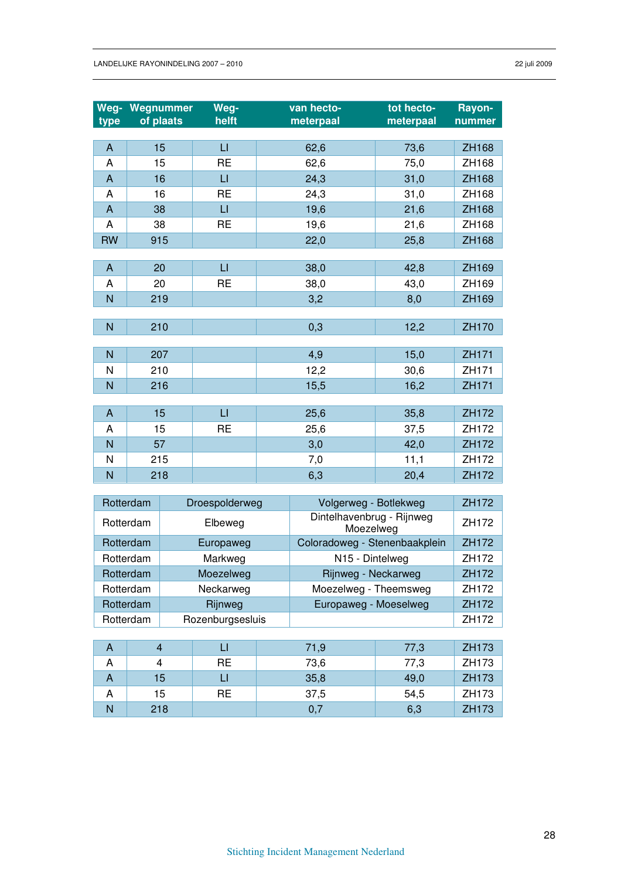|                           | <b>Weg- Wegnummer</b> | Weg-         | van hecto- | tot hecto- | Rayon-       |
|---------------------------|-----------------------|--------------|------------|------------|--------------|
| type                      | of plaats             | helft        | meterpaal  | meterpaal  | nummer       |
|                           | 15                    | $\mathsf{L}$ |            |            |              |
| $\mathsf{A}$              |                       |              | 62,6       | 73,6       | <b>ZH168</b> |
| A                         | 15                    | <b>RE</b>    | 62,6       | 75,0       | ZH168        |
| $\mathsf{A}$              | 16                    | $\sqcup$     | 24,3       | 31,0       | ZH168        |
| A                         | 16                    | <b>RE</b>    | 24,3       | 31,0       | ZH168        |
| $\boldsymbol{\mathsf{A}}$ | 38                    | $\sqcup$     | 19,6       | 21,6       | ZH168        |
| A                         | 38                    | <b>RE</b>    | 19,6       | 21,6       | ZH168        |
| <b>RW</b>                 | 915                   |              | 22,0       | 25,8       | ZH168        |
|                           |                       |              |            |            |              |
| $\mathsf{A}$              | 20                    | $\sqcup$     | 38,0       | 42,8       | ZH169        |
| A                         | 20                    | <b>RE</b>    | 38,0       | 43,0       | ZH169        |
| N                         | 219                   |              | 3,2        | 8,0        | ZH169        |
|                           |                       |              |            |            |              |
| $\mathsf{N}$              | 210                   |              | 0,3        | 12,2       | ZH170        |
|                           |                       |              |            |            |              |
| N                         | 207                   |              | 4,9        | 15,0       | ZH171        |
| $\mathsf{N}$              | 210                   |              | 12,2       | 30,6       | ZH171        |
| N                         | 216                   |              | 15,5       | 16,2       | ZH171        |
|                           |                       |              |            |            |              |
| $\mathsf{A}$              | 15                    | $\sqcup$     | 25,6       | 35,8       | ZH172        |
| A                         | 15                    | <b>RE</b>    | 25,6       | 37,5       | ZH172        |
| N                         | 57                    |              | 3,0        | 42,0       | ZH172        |
| N                         | 215                   |              | 7,0        | 11,1       | ZH172        |
| N                         | 218                   |              | 6,3        | 20,4       | ZH172        |

|              | Rotterdam |     | Droespolderweg   |                                                                                                                           | Volgerweg - Botlekweg                  |       | ZH172 |
|--------------|-----------|-----|------------------|---------------------------------------------------------------------------------------------------------------------------|----------------------------------------|-------|-------|
|              | Rotterdam |     | Elbeweg          |                                                                                                                           | Dintelhavenbrug - Rijnweg<br>Moezelweg |       | ZH172 |
|              | Rotterdam |     | Europaweg        |                                                                                                                           |                                        |       | ZH172 |
|              | Rotterdam |     | Markweg          | Coloradoweg - Stenenbaakplein<br>N15 - Dintelweg<br>Rijnweg - Neckarweg<br>Moezelweg - Theemsweg<br>Europaweg - Moeselweg |                                        | ZH172 |       |
|              | Rotterdam |     | Moezelweg        |                                                                                                                           |                                        |       | ZH172 |
|              | Rotterdam |     | Neckarweg        |                                                                                                                           |                                        |       | ZH172 |
|              | Rotterdam |     | Rijnweg          |                                                                                                                           |                                        |       | ZH172 |
|              | Rotterdam |     | Rozenburgsesluis |                                                                                                                           |                                        |       | ZH172 |
|              |           |     |                  |                                                                                                                           |                                        |       |       |
| A            | 4         |     | П                |                                                                                                                           | 71,9                                   | 77,3  | ZH173 |
| A            | 4         |     | <b>RE</b>        |                                                                                                                           | 73,6                                   | 77,3  | ZH173 |
| A            |           | 15  | П                | 35,8                                                                                                                      |                                        | 49,0  | ZH173 |
| A            |           | 15  | <b>RE</b>        | 37,5<br>54,5                                                                                                              |                                        | ZH173 |       |
| $\mathsf{N}$ |           | 218 |                  |                                                                                                                           | 0,7                                    | 6,3   | ZH173 |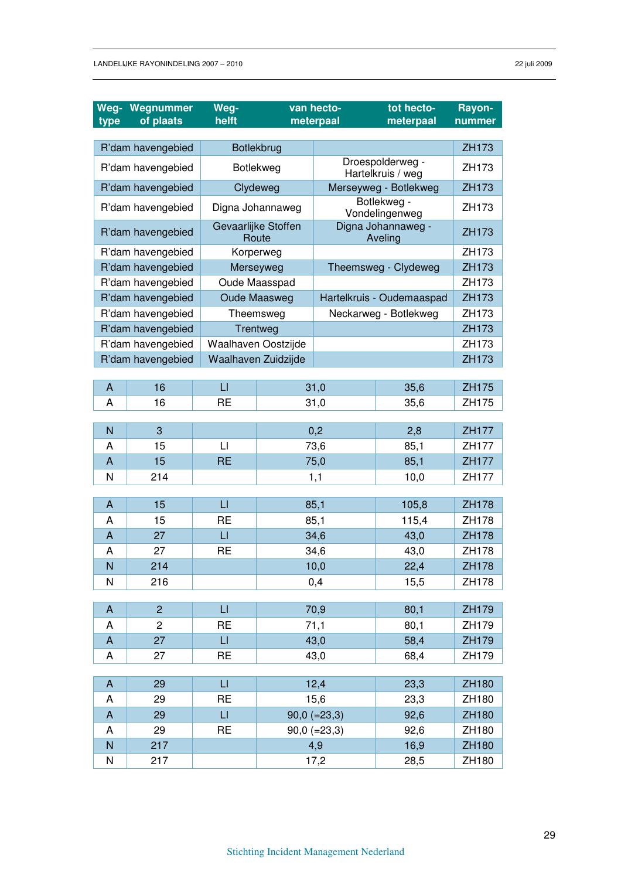| Weg-                | Wegnummer         | Weg-                    | van hecto-                   |                | tot hecto-                            | Rayon-                |
|---------------------|-------------------|-------------------------|------------------------------|----------------|---------------------------------------|-----------------------|
| type                | of plaats         |                         | helft<br>meterpaal           |                | meterpaal                             | nummer                |
|                     |                   |                         |                              |                |                                       | ZH173                 |
|                     | R'dam havengebied |                         | Botlekbrug                   |                |                                       | ZH173                 |
| R'dam havengebied   |                   |                         | Botlekweg                    |                | Droespolderweg -<br>Hartelkruis / weg |                       |
|                     | R'dam havengebied |                         | Clydeweg                     |                | Merseyweg - Botlekweg                 | ZH173                 |
|                     | R'dam havengebied |                         | Digna Johannaweg             |                | Botlekweg -<br>Vondelingenweg         |                       |
|                     | R'dam havengebied |                         | Gevaarlijke Stoffen<br>Route |                | Digna Johannaweg -<br>Aveling         |                       |
|                     | R'dam havengebied |                         | Korperweg                    |                |                                       |                       |
|                     | R'dam havengebied |                         | Merseyweg                    |                | Theemsweg - Clydeweg                  |                       |
|                     | R'dam havengebied |                         | Oude Maasspad                |                |                                       | ZH173                 |
|                     | R'dam havengebied |                         | <b>Oude Maasweg</b>          |                | Hartelkruis - Oudemaaspad             |                       |
|                     | R'dam havengebied |                         | Theemsweg                    |                | Neckarweg - Botlekweg                 | ZH173                 |
|                     | R'dam havengebied |                         | Trentweg                     |                |                                       | ZH173                 |
|                     | R'dam havengebied |                         | Waalhaven Oostzijde          |                |                                       | ZH173                 |
|                     | R'dam havengebied |                         | Waalhaven Zuidzijde          |                |                                       | ZH173                 |
|                     |                   |                         |                              |                |                                       |                       |
| A                   | 16                | $\sqcup$                |                              | 31,0           | 35,6                                  | ZH175                 |
| A                   | 16                | <b>RE</b>               |                              | 31,0           | 35,6                                  | ZH175                 |
|                     |                   |                         |                              |                |                                       |                       |
| N                   | 3                 |                         |                              | 0,2            | 2,8                                   | <b>ZH177</b>          |
| Α                   | 15                | $\lfloor \cdot \rfloor$ |                              | 73,6           | 85,1                                  | ZH177                 |
| $\overline{A}$      | 15                | <b>RE</b>               |                              | 75,0           | 85,1                                  | <b>ZH177</b>          |
| N                   | 214               |                         |                              | 1,1            | 10,0                                  | ZH177                 |
|                     | 15                | $\mathsf{L}$            |                              |                |                                       |                       |
| A                   |                   | <b>RE</b>               |                              | 85,1           | 105,8                                 | <b>ZH178</b><br>ZH178 |
| Α<br>$\overline{A}$ | 15<br>27          | $\sqcup$                |                              | 85,1<br>34,6   | 115,4<br>43,0                         | <b>ZH178</b>          |
| Α                   | 27                | <b>RE</b>               |                              |                |                                       | ZH178                 |
| N                   |                   |                         | 34,6<br>10,0                 |                | 43,0                                  |                       |
|                     | 214               |                         |                              |                | 22,4                                  | <b>ZH178</b>          |
| N                   | 216               |                         |                              | 0,4            | 15,5                                  | ZH178                 |
| $\mathsf{A}$        | $\overline{2}$    | $\mathsf{L}\mathsf{L}$  |                              | 70,9           | 80,1                                  | ZH179                 |
| A                   | $\overline{c}$    | <b>RE</b>               |                              | 71,1           | 80,1                                  | ZH179                 |
| $\mathsf{A}$        | 27                | LI.                     |                              | 43,0           | 58,4                                  | ZH179                 |
| Α                   | 27                | <b>RE</b>               |                              | 43,0           | 68,4                                  | ZH179                 |
|                     |                   |                         |                              |                |                                       |                       |
| A                   | 29                | $\sqcup$                |                              | 12,4           | 23,3                                  | ZH180                 |
| A                   | 29                | <b>RE</b>               |                              | 15,6           | 23,3                                  | ZH180                 |
| A                   | 29                | $\sqcup$                |                              | $90,0 (=23,3)$ | 92,6                                  | ZH180                 |
| A                   | 29                | <b>RE</b>               |                              | $90,0 (=23,3)$ | 92,6                                  | ZH180                 |
| ${\sf N}$           | 217               |                         |                              | 4,9            | 16,9                                  | ZH180                 |
| N                   | 217               |                         |                              | 17,2           | 28,5                                  | ZH180                 |